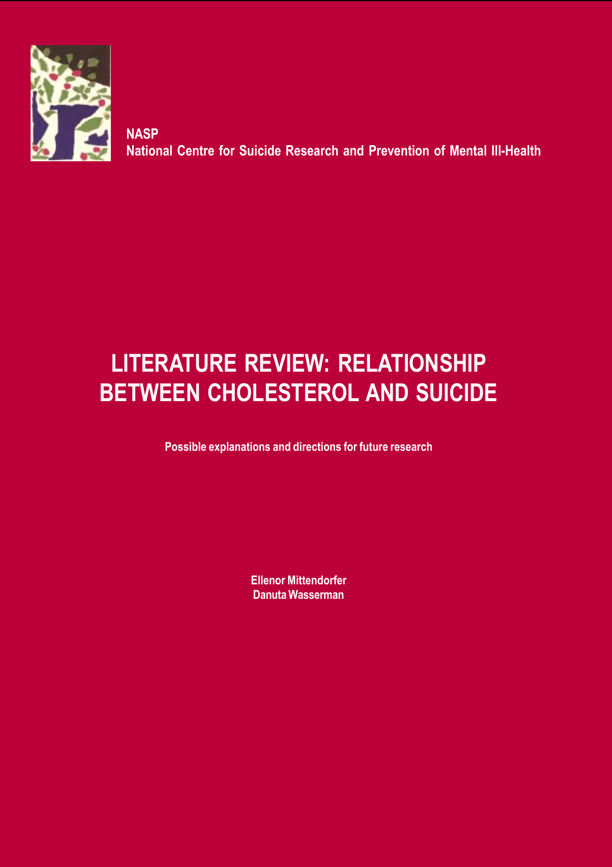

**NASP National Centre for Suicide Research and Prevention of Mental Ill-Health**

# **LITERATURE REVIEW: RELATIONSHIP BETWEEN CHOLESTEROL AND SUICIDE**

**Possible explanations and directions for future research**

**Ellenor Mittendorfer Danuta Wasserman**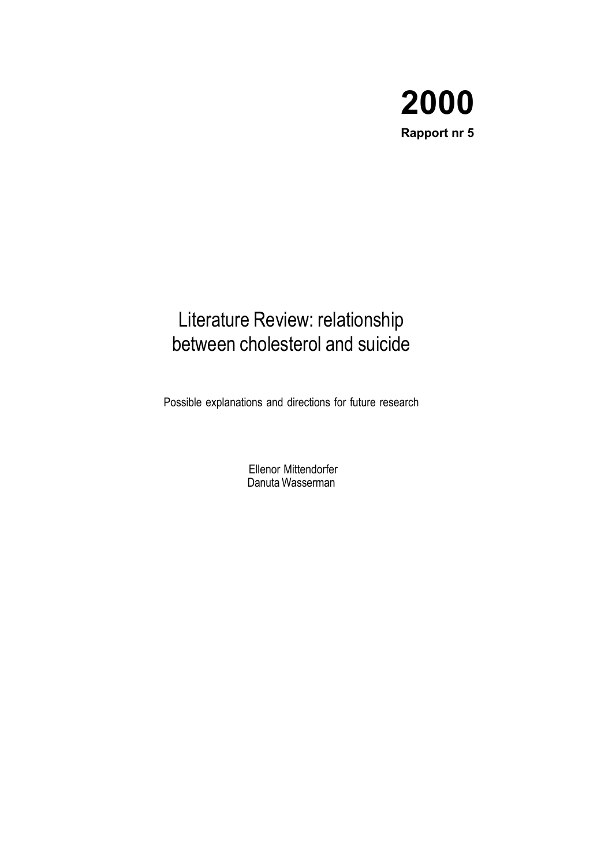

## Literature Review: relationship between cholesterol and suicide

Possible explanations and directions for future research

 Ellenor Mittendorfer Danuta Wasserman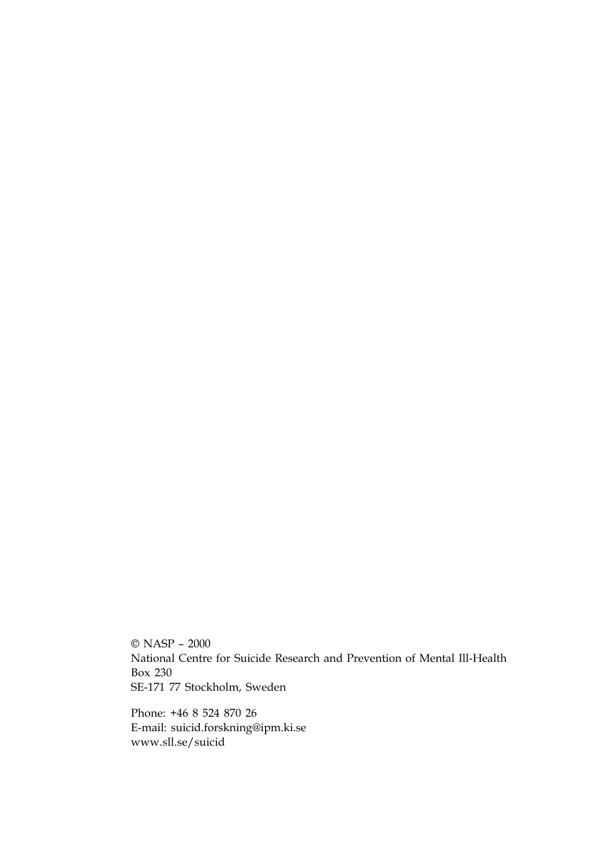© NASP – 2000 National Centre for Suicide Research and Prevention of Mental Ill-Health Box 230 SE-171 77 Stockholm, Sweden

Phone: +46 8 524 870 26 E-mail: suicid.forskning@ipm.ki.se www.sll.se/suicid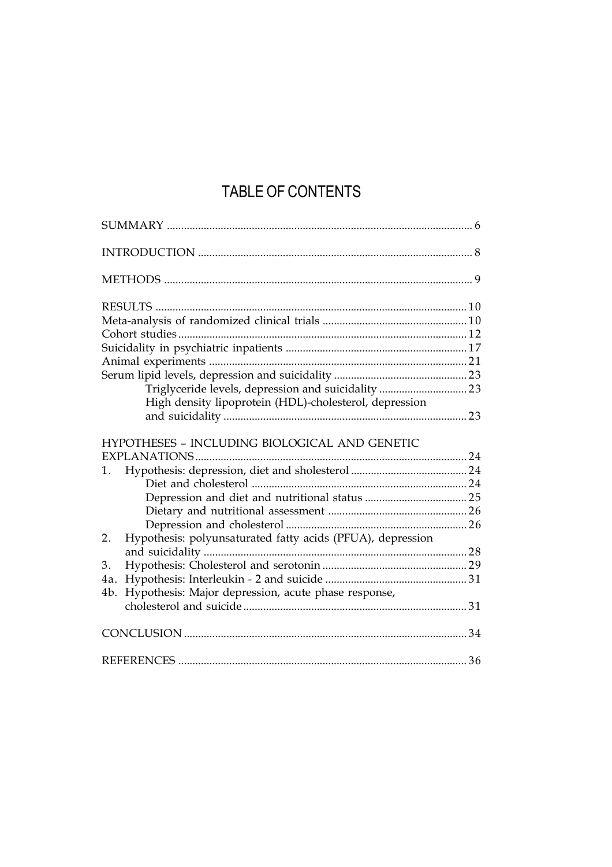## TABLE OF CONTENTS

|     | Triglyceride levels, depression and suicidality  23        |  |
|-----|------------------------------------------------------------|--|
|     | High density lipoprotein (HDL)-cholesterol, depression     |  |
|     |                                                            |  |
|     | HYPOTHESES - INCLUDING BIOLOGICAL AND GENETIC              |  |
|     |                                                            |  |
| 1.  |                                                            |  |
|     |                                                            |  |
|     |                                                            |  |
|     |                                                            |  |
| 2.  | Hypothesis: polyunsaturated fatty acids (PFUA), depression |  |
|     |                                                            |  |
| 3.  |                                                            |  |
| 4a. |                                                            |  |
| 4b. | Hypothesis: Major depression, acute phase response,        |  |
|     |                                                            |  |
|     |                                                            |  |
|     |                                                            |  |
|     |                                                            |  |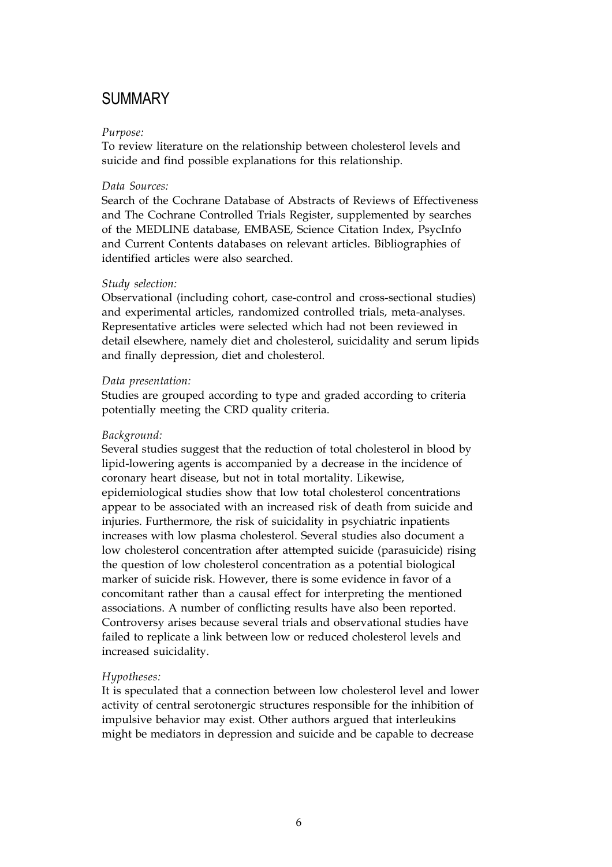### SUMMARY

#### *Purpose:*

To review literature on the relationship between cholesterol levels and suicide and find possible explanations for this relationship.

#### *Data Sources:*

Search of the Cochrane Database of Abstracts of Reviews of Effectiveness and The Cochrane Controlled Trials Register, supplemented by searches of the MEDLINE database, EMBASE, Science Citation Index, PsycInfo and Current Contents databases on relevant articles. Bibliographies of identified articles were also searched.

#### *Study selection:*

Observational (including cohort, case-control and cross-sectional studies) and experimental articles, randomized controlled trials, meta-analyses. Representative articles were selected which had not been reviewed in detail elsewhere, namely diet and cholesterol, suicidality and serum lipids and finally depression, diet and cholesterol.

#### *Data presentation:*

Studies are grouped according to type and graded according to criteria potentially meeting the CRD quality criteria.

#### *Background:*

Several studies suggest that the reduction of total cholesterol in blood by lipid-lowering agents is accompanied by a decrease in the incidence of coronary heart disease, but not in total mortality. Likewise, epidemiological studies show that low total cholesterol concentrations appear to be associated with an increased risk of death from suicide and injuries. Furthermore, the risk of suicidality in psychiatric inpatients increases with low plasma cholesterol. Several studies also document a low cholesterol concentration after attempted suicide (parasuicide) rising the question of low cholesterol concentration as a potential biological marker of suicide risk. However, there is some evidence in favor of a concomitant rather than a causal effect for interpreting the mentioned associations. A number of conflicting results have also been reported. Controversy arises because several trials and observational studies have failed to replicate a link between low or reduced cholesterol levels and increased suicidality.

#### *Hypotheses:*

It is speculated that a connection between low cholesterol level and lower activity of central serotonergic structures responsible for the inhibition of impulsive behavior may exist. Other authors argued that interleukins might be mediators in depression and suicide and be capable to decrease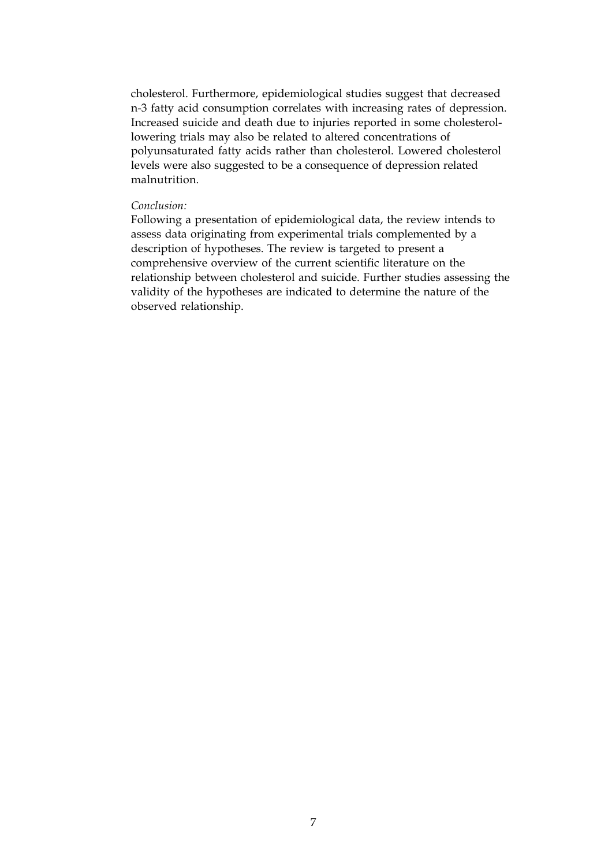cholesterol. Furthermore, epidemiological studies suggest that decreased n-3 fatty acid consumption correlates with increasing rates of depression. Increased suicide and death due to injuries reported in some cholesterollowering trials may also be related to altered concentrations of polyunsaturated fatty acids rather than cholesterol. Lowered cholesterol levels were also suggested to be a consequence of depression related malnutrition.

#### *Conclusion:*

Following a presentation of epidemiological data, the review intends to assess data originating from experimental trials complemented by a description of hypotheses. The review is targeted to present a comprehensive overview of the current scientific literature on the relationship between cholesterol and suicide. Further studies assessing the validity of the hypotheses are indicated to determine the nature of the observed relationship.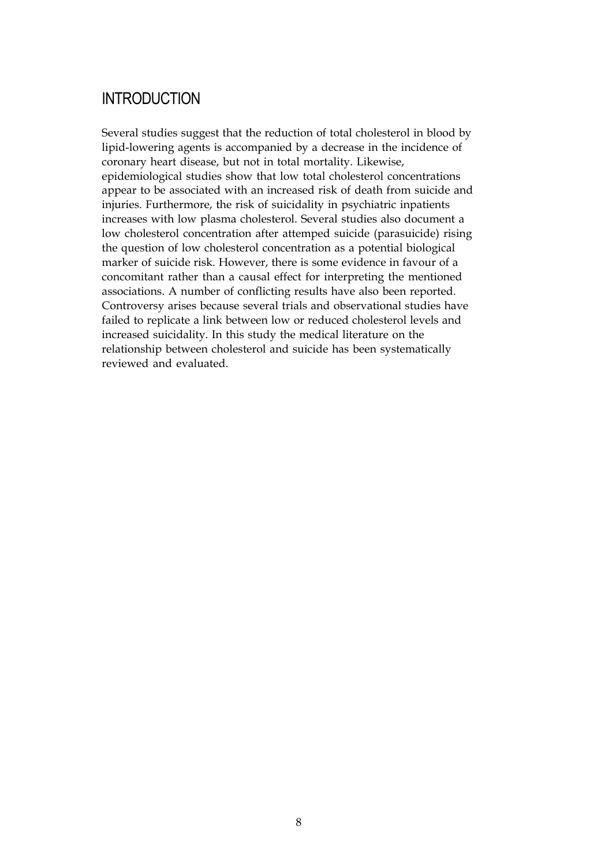### INTRODUCTION

Several studies suggest that the reduction of total cholesterol in blood by lipid-lowering agents is accompanied by a decrease in the incidence of coronary heart disease, but not in total mortality. Likewise, epidemiological studies show that low total cholesterol concentrations appear to be associated with an increased risk of death from suicide and injuries. Furthermore, the risk of suicidality in psychiatric inpatients increases with low plasma cholesterol. Several studies also document a low cholesterol concentration after attemped suicide (parasuicide) rising the question of low cholesterol concentration as a potential biological marker of suicide risk. However, there is some evidence in favour of a concomitant rather than a causal effect for interpreting the mentioned associations. A number of conflicting results have also been reported. Controversy arises because several trials and observational studies have failed to replicate a link between low or reduced cholesterol levels and increased suicidality. In this study the medical literature on the relationship between cholesterol and suicide has been systematically reviewed and evaluated.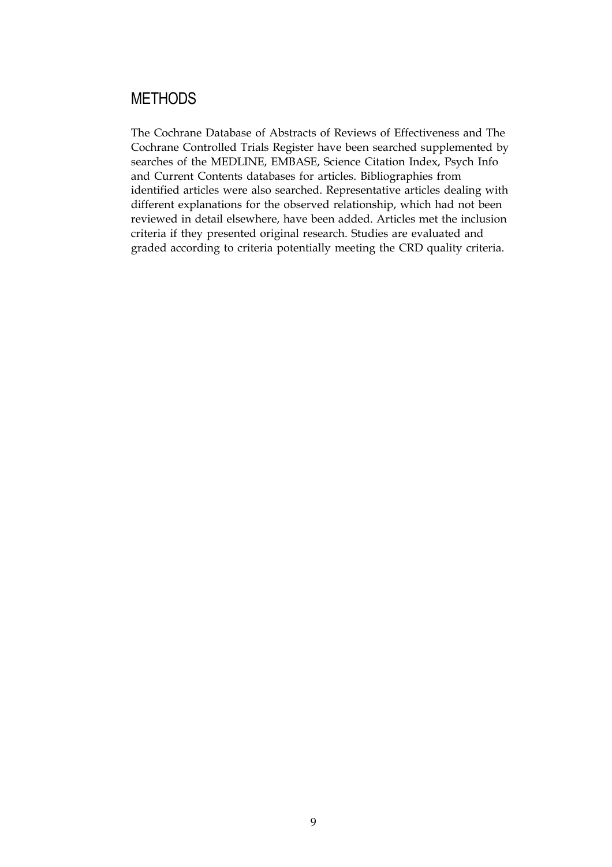### **METHODS**

The Cochrane Database of Abstracts of Reviews of Effectiveness and The Cochrane Controlled Trials Register have been searched supplemented by searches of the MEDLINE, EMBASE, Science Citation Index, Psych Info and Current Contents databases for articles. Bibliographies from identified articles were also searched. Representative articles dealing with different explanations for the observed relationship, which had not been reviewed in detail elsewhere, have been added. Articles met the inclusion criteria if they presented original research. Studies are evaluated and graded according to criteria potentially meeting the CRD quality criteria.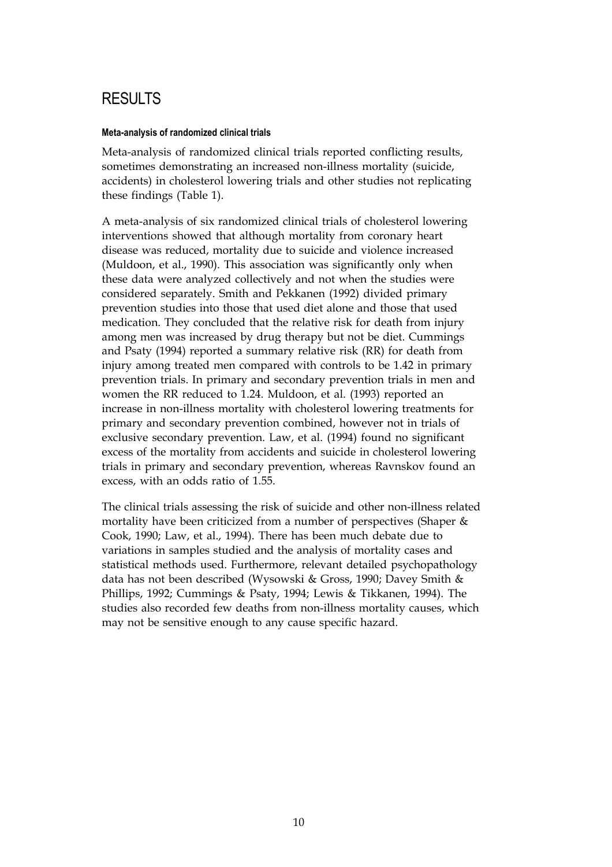## **RESULTS**

#### **Meta-analysis of randomized clinical trials**

Meta-analysis of randomized clinical trials reported conflicting results, sometimes demonstrating an increased non-illness mortality (suicide, accidents) in cholesterol lowering trials and other studies not replicating these findings (Table 1).

A meta-analysis of six randomized clinical trials of cholesterol lowering interventions showed that although mortality from coronary heart disease was reduced, mortality due to suicide and violence increased (Muldoon, et al., 1990). This association was significantly only when these data were analyzed collectively and not when the studies were considered separately. Smith and Pekkanen (1992) divided primary prevention studies into those that used diet alone and those that used medication. They concluded that the relative risk for death from injury among men was increased by drug therapy but not be diet. Cummings and Psaty (1994) reported a summary relative risk (RR) for death from injury among treated men compared with controls to be 1.42 in primary prevention trials. In primary and secondary prevention trials in men and women the RR reduced to 1.24. Muldoon, et al. (1993) reported an increase in non-illness mortality with cholesterol lowering treatments for primary and secondary prevention combined, however not in trials of exclusive secondary prevention. Law, et al. (1994) found no significant excess of the mortality from accidents and suicide in cholesterol lowering trials in primary and secondary prevention, whereas Ravnskov found an excess, with an odds ratio of 1.55.

The clinical trials assessing the risk of suicide and other non-illness related mortality have been criticized from a number of perspectives (Shaper  $\&$ Cook, 1990; Law, et al., 1994). There has been much debate due to variations in samples studied and the analysis of mortality cases and statistical methods used. Furthermore, relevant detailed psychopathology data has not been described (Wysowski & Gross, 1990; Davey Smith & Phillips, 1992; Cummings & Psaty, 1994; Lewis & Tikkanen, 1994). The studies also recorded few deaths from non-illness mortality causes, which may not be sensitive enough to any cause specific hazard.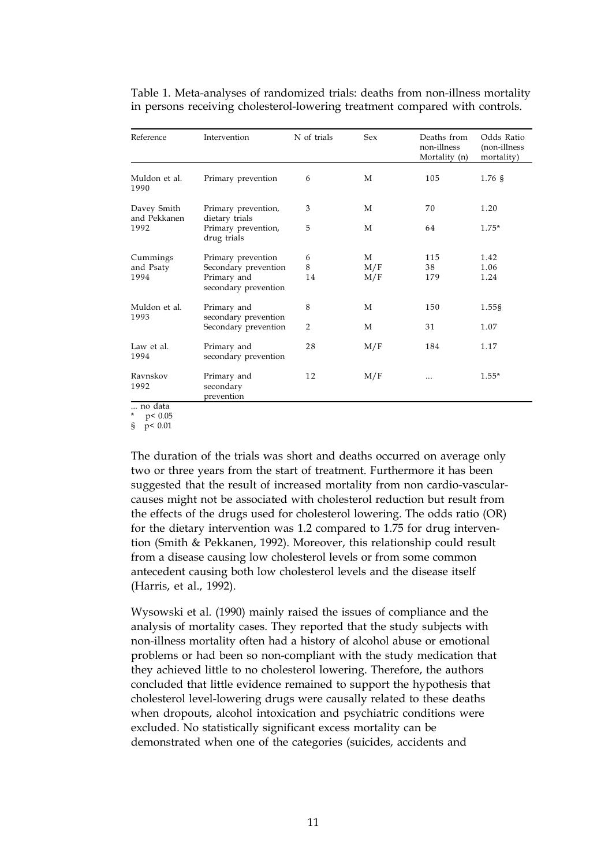| Reference                     | Intervention                                                                      | N of trials    | Sex             | Deaths from<br>non-illness<br>Mortality (n) | Odds Ratio<br>(non-illness<br>mortality) |
|-------------------------------|-----------------------------------------------------------------------------------|----------------|-----------------|---------------------------------------------|------------------------------------------|
| Muldon et al.<br>1990         | Primary prevention                                                                | 6              | M               | 105                                         | 1.76 <sub>9</sub>                        |
| Davey Smith<br>and Pekkanen   | Primary prevention,<br>dietary trials                                             | 3              | M               | 70                                          | 1.20                                     |
| 1992                          | Primary prevention,<br>drug trials                                                | 5              | M               | 64                                          | $1.75*$                                  |
| Cummings<br>and Psaty<br>1994 | Primary prevention<br>Secondary prevention<br>Primary and<br>secondary prevention | 6<br>8<br>14   | M<br>M/F<br>M/F | 115<br>38<br>179                            | 1.42<br>1.06<br>1.24                     |
| Muldon et al.                 | Primary and                                                                       | 8              | M               | 150                                         | 1.55§                                    |
| 1993                          | secondary prevention<br>Secondary prevention                                      | $\overline{2}$ | M               | 31                                          | 1.07                                     |
| Law et al.<br>1994            | Primary and<br>secondary prevention                                               | 28             | M/F             | 184                                         | 1.17                                     |
| Ravnskov<br>1992<br>no data   | Primary and<br>secondary<br>prevention                                            | 12             | M/F             | $\cdots$                                    | $1.55*$                                  |

Table 1. Meta-analyses of randomized trials: deaths from non-illness mortality in persons receiving cholesterol-lowering treatment compared with controls.

... no data

\* p< 0.05

§ p< 0.01

The duration of the trials was short and deaths occurred on average only two or three years from the start of treatment. Furthermore it has been suggested that the result of increased mortality from non cardio-vascularcauses might not be associated with cholesterol reduction but result from the effects of the drugs used for cholesterol lowering. The odds ratio (OR) for the dietary intervention was 1.2 compared to 1.75 for drug intervention (Smith & Pekkanen, 1992). Moreover, this relationship could result from a disease causing low cholesterol levels or from some common antecedent causing both low cholesterol levels and the disease itself (Harris, et al., 1992).

Wysowski et al. (1990) mainly raised the issues of compliance and the analysis of mortality cases. They reported that the study subjects with non-illness mortality often had a history of alcohol abuse or emotional problems or had been so non-compliant with the study medication that they achieved little to no cholesterol lowering. Therefore, the authors concluded that little evidence remained to support the hypothesis that cholesterol level-lowering drugs were causally related to these deaths when dropouts, alcohol intoxication and psychiatric conditions were excluded. No statistically significant excess mortality can be demonstrated when one of the categories (suicides, accidents and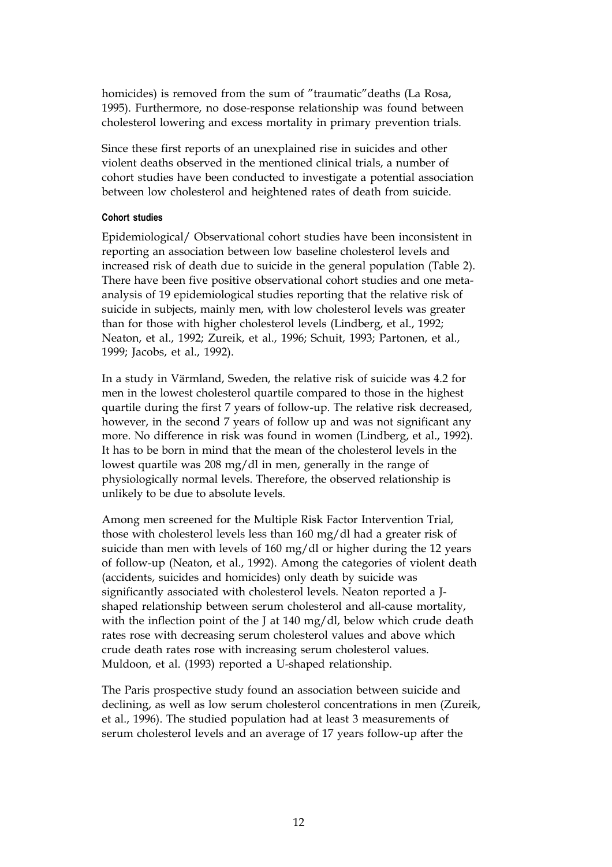homicides) is removed from the sum of "traumatic"deaths (La Rosa, 1995). Furthermore, no dose-response relationship was found between cholesterol lowering and excess mortality in primary prevention trials.

Since these first reports of an unexplained rise in suicides and other violent deaths observed in the mentioned clinical trials, a number of cohort studies have been conducted to investigate a potential association between low cholesterol and heightened rates of death from suicide.

#### **Cohort studies**

Epidemiological/ Observational cohort studies have been inconsistent in reporting an association between low baseline cholesterol levels and increased risk of death due to suicide in the general population (Table 2). There have been five positive observational cohort studies and one metaanalysis of 19 epidemiological studies reporting that the relative risk of suicide in subjects, mainly men, with low cholesterol levels was greater than for those with higher cholesterol levels (Lindberg, et al., 1992; Neaton, et al., 1992; Zureik, et al., 1996; Schuit, 1993; Partonen, et al., 1999; Jacobs, et al., 1992).

In a study in Värmland, Sweden, the relative risk of suicide was 4.2 for men in the lowest cholesterol quartile compared to those in the highest quartile during the first 7 years of follow-up. The relative risk decreased, however, in the second 7 years of follow up and was not significant any more. No difference in risk was found in women (Lindberg, et al., 1992). It has to be born in mind that the mean of the cholesterol levels in the lowest quartile was 208 mg/dl in men, generally in the range of physiologically normal levels. Therefore, the observed relationship is unlikely to be due to absolute levels.

Among men screened for the Multiple Risk Factor Intervention Trial, those with cholesterol levels less than 160 mg/dl had a greater risk of suicide than men with levels of 160 mg/dl or higher during the 12 years of follow-up (Neaton, et al., 1992). Among the categories of violent death (accidents, suicides and homicides) only death by suicide was significantly associated with cholesterol levels. Neaton reported a Jshaped relationship between serum cholesterol and all-cause mortality, with the inflection point of the J at 140 mg/dl, below which crude death rates rose with decreasing serum cholesterol values and above which crude death rates rose with increasing serum cholesterol values. Muldoon, et al. (1993) reported a U-shaped relationship.

The Paris prospective study found an association between suicide and declining, as well as low serum cholesterol concentrations in men (Zureik, et al., 1996). The studied population had at least 3 measurements of serum cholesterol levels and an average of 17 years follow-up after the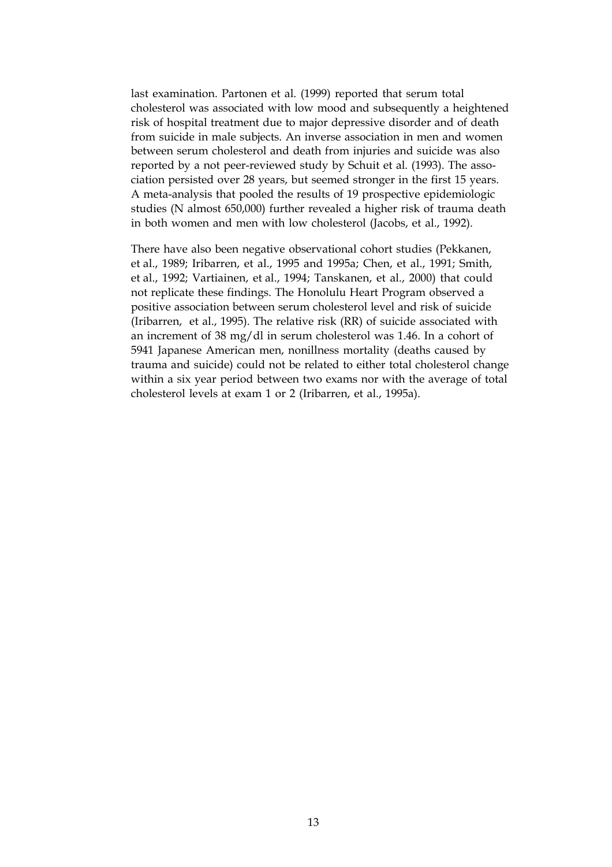last examination. Partonen et al. (1999) reported that serum total cholesterol was associated with low mood and subsequently a heightened risk of hospital treatment due to major depressive disorder and of death from suicide in male subjects. An inverse association in men and women between serum cholesterol and death from injuries and suicide was also reported by a not peer-reviewed study by Schuit et al. (1993). The association persisted over 28 years, but seemed stronger in the first 15 years. A meta-analysis that pooled the results of 19 prospective epidemiologic studies (N almost 650,000) further revealed a higher risk of trauma death in both women and men with low cholesterol (Jacobs, et al., 1992).

There have also been negative observational cohort studies (Pekkanen, et al., 1989; Iribarren, et al., 1995 and 1995a; Chen, et al., 1991; Smith, et al., 1992; Vartiainen, et al., 1994; Tanskanen, et al., 2000) that could not replicate these findings. The Honolulu Heart Program observed a positive association between serum cholesterol level and risk of suicide (Iribarren, et al., 1995). The relative risk (RR) of suicide associated with an increment of 38 mg/dl in serum cholesterol was 1.46. In a cohort of 5941 Japanese American men, nonillness mortality (deaths caused by trauma and suicide) could not be related to either total cholesterol change within a six year period between two exams nor with the average of total cholesterol levels at exam 1 or 2 (Iribarren, et al., 1995a).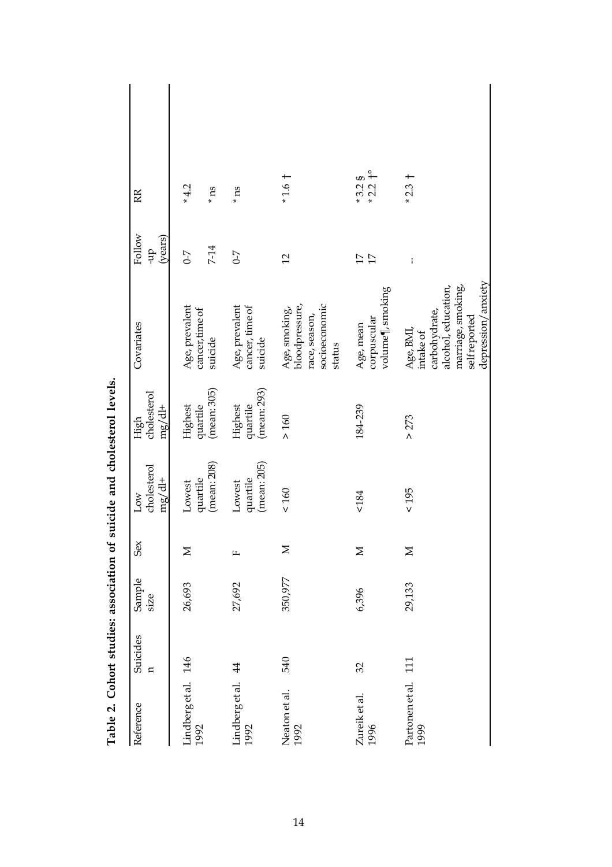| Reference                   | Suicides<br>$\mathbf{a}$ | Sample<br>size | Sex    | cholesterol<br>mg/dt<br>Low       | cholesterol<br>$mg/dt +$<br>High   | Covariates                                                                                                                  | Follow<br>(years)<br>qh-           | RR                      |
|-----------------------------|--------------------------|----------------|--------|-----------------------------------|------------------------------------|-----------------------------------------------------------------------------------------------------------------------------|------------------------------------|-------------------------|
| Lindberg et al. 146<br>1992 |                          | 26,693         | Σ      | Lowest                            | Highest                            | Age, prevalent<br>cancer, time of                                                                                           | $\mathcal{L}$ -0                   | $*4.2$                  |
|                             |                          |                |        | (mean: 208)<br>quartile           | (mean: 305)<br>quartile            | suicide                                                                                                                     | $7 - 14$                           | $\boldsymbol{m}_*$      |
| Lindberg et al. 44<br>1992  |                          | 27,692         | щ      | (mean: 205)<br>quartile<br>Lowest | (mean: 293)<br>quartile<br>Highest | Age, prevalent<br>cancer, time of<br>suicide                                                                                | $C-7$                              | $\,^*$ ns               |
| Neaton et al.<br>1992       | 540                      | 350,977        | $\geq$ | $<160$                            | $>160$                             | bloodpressure,<br>socioeconomic<br>Age, smoking,<br>race, season,<br>status                                                 | $\overline{12}$                    | $*1.6 \dagger$          |
| Zureik et al.<br>1996       | 32                       | 6,396          | $\geq$ | 5184                              | 184-239                            | volume¶, smoking<br>corpuscular<br>Age, mean                                                                                | $\overline{17}$<br>$\overline{17}$ | $*3.28$<br>$*2.2$       |
| Partonen et al. 111<br>1999 |                          | 29,133         | $\geq$ | $< 195$                           | >273                               | depression/anxiety<br>marriage, smoking,<br>alcohol, education,<br>carbohydrate,<br>self reported<br>Age, BMI,<br>intake of | $\vdots$                           | $\overline{+}$<br>$*23$ |

Table 2. Cohort studies: association of suicide and cholesterol levels. **Table 2. Cohort studies: association of suicide and cholesterol levels.**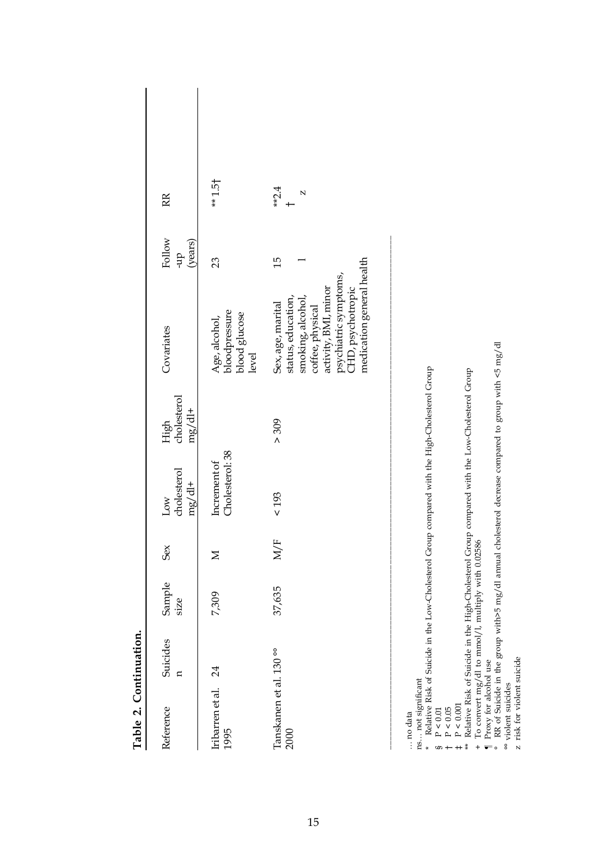| Table 2. Continuation.                                                                                                                                                                                           |                                                   |                |         |                                                                                                                                                                                                                                                                                                         |                                 |                                                                                                                                                                                     |                          |                        |
|------------------------------------------------------------------------------------------------------------------------------------------------------------------------------------------------------------------|---------------------------------------------------|----------------|---------|---------------------------------------------------------------------------------------------------------------------------------------------------------------------------------------------------------------------------------------------------------------------------------------------------------|---------------------------------|-------------------------------------------------------------------------------------------------------------------------------------------------------------------------------------|--------------------------|------------------------|
| Reference                                                                                                                                                                                                        | Suicides<br>$\mathbf{a}$                          | Sample<br>size | Sex     | cholesterol<br>$mg/dl +$<br>Low                                                                                                                                                                                                                                                                         | cholesterol<br>$mg/dl+$<br>High | Covariates                                                                                                                                                                          | Follow<br>(years)<br>dn- | RR                     |
| Iribarren et al.<br>1995                                                                                                                                                                                         | 24                                                | 7,309          | $\geq$  | Cholesterol: 38<br>Increment of                                                                                                                                                                                                                                                                         |                                 | bloodpressure<br>blood glucose<br>Age, alcohol,<br>level                                                                                                                            | 23                       | $*1.5$                 |
| Tanskanen et al. 130°°<br>2000                                                                                                                                                                                   |                                                   | 37,635         | щ<br>У) | $<193$                                                                                                                                                                                                                                                                                                  | > 309                           | medication general health<br>activity, BML, minor<br>psychiatric symptoms,<br>CHD, psychotropic<br>status, education,<br>smoking, alcohol,<br>Sex, age, marital<br>coffee, physical | $\frac{15}{1}$           | $*2.4$<br>$\mathbf{N}$ |
| Proxy for alcohol use<br>ns not significant<br>* Palation Picture<br>${\rm P}\leq 0.001$<br>${\rm P}\leq0.05$<br>${\rm P}\leq0.01$<br>no data<br>$\ddot{\ddot{x}}$<br>$\ddot{}$<br>$\overline{\phantom{0}}$<br>S | To convert mg/dl to mmol/l, multiply with 0.02586 |                |         | RR of Suicide in the group with>5 mg/dl annual cholesterol decrease compared to group with <5 mg/dl<br>Relative Risk of Suicide in the Low-Cholesterol Group compared with the High-Cholesterol Group<br>Relative Risk of Suicide in the High-Cholesterol Group compared with the Low-Cholesterol Group |                                 |                                                                                                                                                                                     |                          |                        |

Table 2. Continuation **Table 2. Continuation.**

° RR of Suicide in the group with>5 mg/dl annual cholesterol decrease compared to group with <5 mg/dl Ļ á ŗ,  $\tilde{\phi}$  $\ddot{\mathbf{r}}$ The Magnetic and the ground and the ground sole of the state of the state of the state of the state of the state of the state of the state of the state of the state of the state of the state of the state of the state of th °° violent suicides

z risk for violent suicide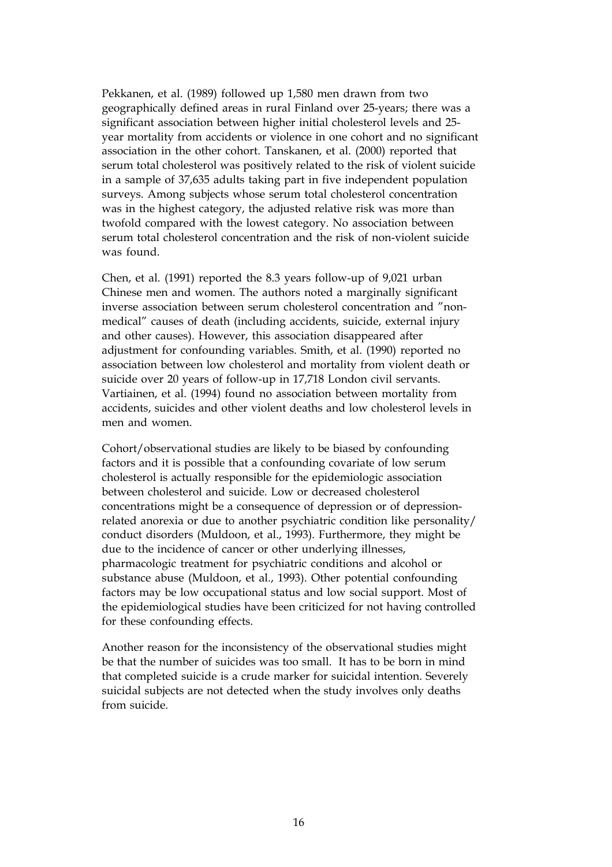Pekkanen, et al. (1989) followed up 1,580 men drawn from two geographically defined areas in rural Finland over 25-years; there was a significant association between higher initial cholesterol levels and 25 year mortality from accidents or violence in one cohort and no significant association in the other cohort. Tanskanen, et al. (2000) reported that serum total cholesterol was positively related to the risk of violent suicide in a sample of 37,635 adults taking part in five independent population surveys. Among subjects whose serum total cholesterol concentration was in the highest category, the adjusted relative risk was more than twofold compared with the lowest category. No association between serum total cholesterol concentration and the risk of non-violent suicide was found.

Chen, et al. (1991) reported the 8.3 years follow-up of 9,021 urban Chinese men and women. The authors noted a marginally significant inverse association between serum cholesterol concentration and "nonmedical" causes of death (including accidents, suicide, external injury and other causes). However, this association disappeared after adjustment for confounding variables. Smith, et al. (1990) reported no association between low cholesterol and mortality from violent death or suicide over 20 years of follow-up in 17,718 London civil servants. Vartiainen, et al. (1994) found no association between mortality from accidents, suicides and other violent deaths and low cholesterol levels in men and women.

Cohort/observational studies are likely to be biased by confounding factors and it is possible that a confounding covariate of low serum cholesterol is actually responsible for the epidemiologic association between cholesterol and suicide. Low or decreased cholesterol concentrations might be a consequence of depression or of depressionrelated anorexia or due to another psychiatric condition like personality/ conduct disorders (Muldoon, et al., 1993). Furthermore, they might be due to the incidence of cancer or other underlying illnesses, pharmacologic treatment for psychiatric conditions and alcohol or substance abuse (Muldoon, et al., 1993). Other potential confounding factors may be low occupational status and low social support. Most of the epidemiological studies have been criticized for not having controlled for these confounding effects.

Another reason for the inconsistency of the observational studies might be that the number of suicides was too small. It has to be born in mind that completed suicide is a crude marker for suicidal intention. Severely suicidal subjects are not detected when the study involves only deaths from suicide.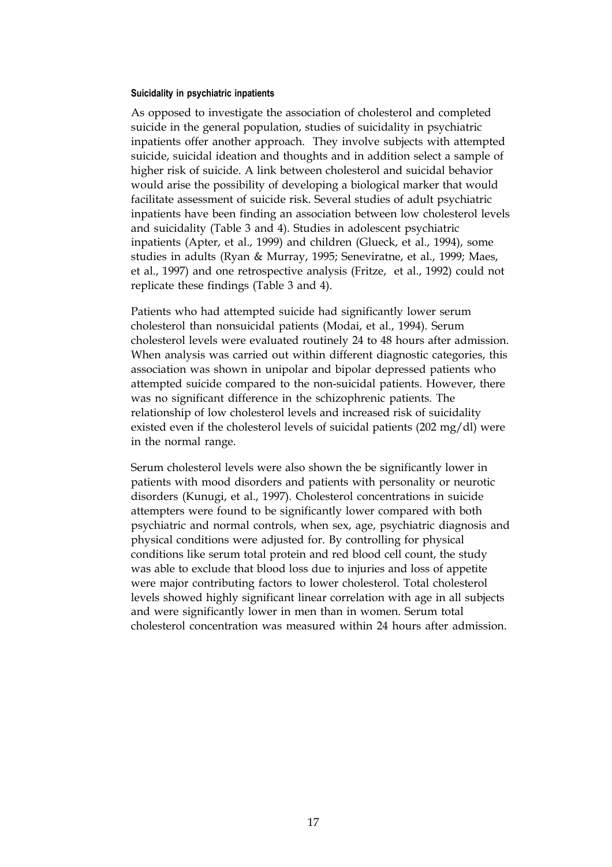#### **Suicidality in psychiatric inpatients**

As opposed to investigate the association of cholesterol and completed suicide in the general population, studies of suicidality in psychiatric inpatients offer another approach. They involve subjects with attempted suicide, suicidal ideation and thoughts and in addition select a sample of higher risk of suicide. A link between cholesterol and suicidal behavior would arise the possibility of developing a biological marker that would facilitate assessment of suicide risk. Several studies of adult psychiatric inpatients have been finding an association between low cholesterol levels and suicidality (Table 3 and 4). Studies in adolescent psychiatric inpatients (Apter, et al., 1999) and children (Glueck, et al., 1994), some studies in adults (Ryan & Murray, 1995; Seneviratne, et al., 1999; Maes, et al., 1997) and one retrospective analysis (Fritze, et al., 1992) could not replicate these findings (Table 3 and 4).

Patients who had attempted suicide had significantly lower serum cholesterol than nonsuicidal patients (Modai, et al., 1994). Serum cholesterol levels were evaluated routinely 24 to 48 hours after admission. When analysis was carried out within different diagnostic categories, this association was shown in unipolar and bipolar depressed patients who attempted suicide compared to the non-suicidal patients. However, there was no significant difference in the schizophrenic patients. The relationship of low cholesterol levels and increased risk of suicidality existed even if the cholesterol levels of suicidal patients (202 mg/dl) were in the normal range.

Serum cholesterol levels were also shown the be significantly lower in patients with mood disorders and patients with personality or neurotic disorders (Kunugi, et al., 1997). Cholesterol concentrations in suicide attempters were found to be significantly lower compared with both psychiatric and normal controls, when sex, age, psychiatric diagnosis and physical conditions were adjusted for. By controlling for physical conditions like serum total protein and red blood cell count, the study was able to exclude that blood loss due to injuries and loss of appetite were major contributing factors to lower cholesterol. Total cholesterol levels showed highly significant linear correlation with age in all subjects and were significantly lower in men than in women. Serum total cholesterol concentration was measured within 24 hours after admission.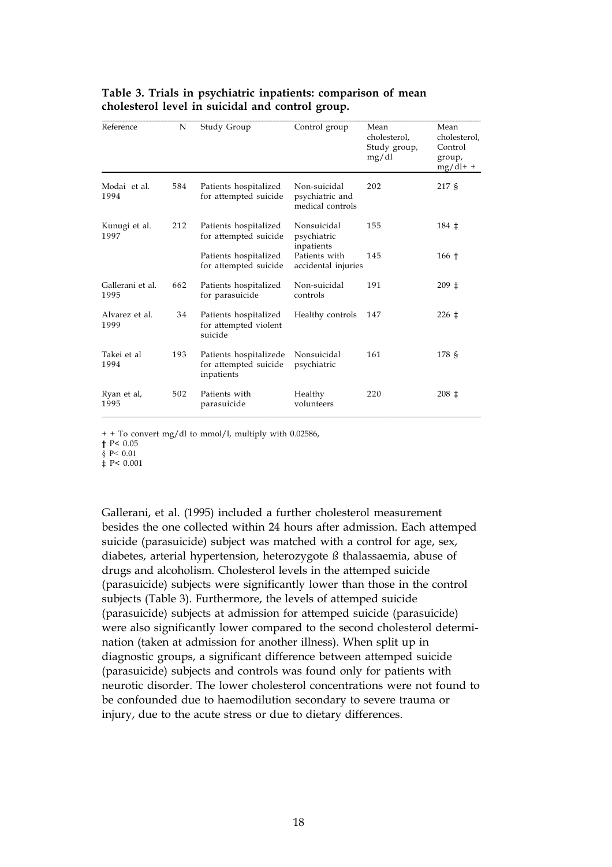| Reference                | N   | Study Group                                                   | Control group                                       | Mean<br>cholesterol.<br>Study group,<br>mg/dl | Mean<br>cholesterol,<br>Control<br>group,<br>$mg/dl+ +$ |
|--------------------------|-----|---------------------------------------------------------------|-----------------------------------------------------|-----------------------------------------------|---------------------------------------------------------|
| Modai et al.<br>1994     | 584 | Patients hospitalized<br>for attempted suicide                | Non-suicidal<br>psychiatric and<br>medical controls | 202                                           | 217 §                                                   |
| Kunugi et al.<br>1997    | 212 | Patients hospitalized<br>for attempted suicide                | Nonsuicidal<br>psychiatric<br>inpatients            | 155                                           | $184 \pm$                                               |
|                          |     | Patients hospitalized<br>for attempted suicide                | Patients with<br>accidental injuries                | 145                                           | $166+$                                                  |
| Gallerani et al.<br>1995 | 662 | Patients hospitalized<br>for parasuicide                      | Non-suicidal<br>controls                            | 191                                           | $209 \pm$                                               |
| Alvarez et al.<br>1999   | 34  | Patients hospitalized<br>for attempted violent<br>suicide     | Healthy controls                                    | 147                                           | $226 \pm$                                               |
| Takei et al<br>1994      | 193 | Patients hospitalizede<br>for attempted suicide<br>inpatients | Nonsuicidal<br>psychiatric                          | 161                                           | 178 \$                                                  |
| Ryan et al,<br>1995      | 502 | Patients with<br>parasuicide                                  | Healthy<br>volunteers                               | 220                                           | $208 \pm$                                               |

#### **Table 3. Trials in psychiatric inpatients: comparison of mean cholesterol level in suicidal and control group.**

+ + To convert mg/dl to mmol/l, multiply with 0.02586,

**†** P< 0.05

§ P< 0.01

‡ P< 0.001

Gallerani, et al. (1995) included a further cholesterol measurement besides the one collected within 24 hours after admission. Each attemped suicide (parasuicide) subject was matched with a control for age, sex, diabetes, arterial hypertension, heterozygote ß thalassaemia, abuse of drugs and alcoholism. Cholesterol levels in the attemped suicide (parasuicide) subjects were significantly lower than those in the control subjects (Table 3). Furthermore, the levels of attemped suicide (parasuicide) subjects at admission for attemped suicide (parasuicide) were also significantly lower compared to the second cholesterol determination (taken at admission for another illness). When split up in diagnostic groups, a significant difference between attemped suicide (parasuicide) subjects and controls was found only for patients with neurotic disorder. The lower cholesterol concentrations were not found to be confounded due to haemodilution secondary to severe trauma or injury, due to the acute stress or due to dietary differences.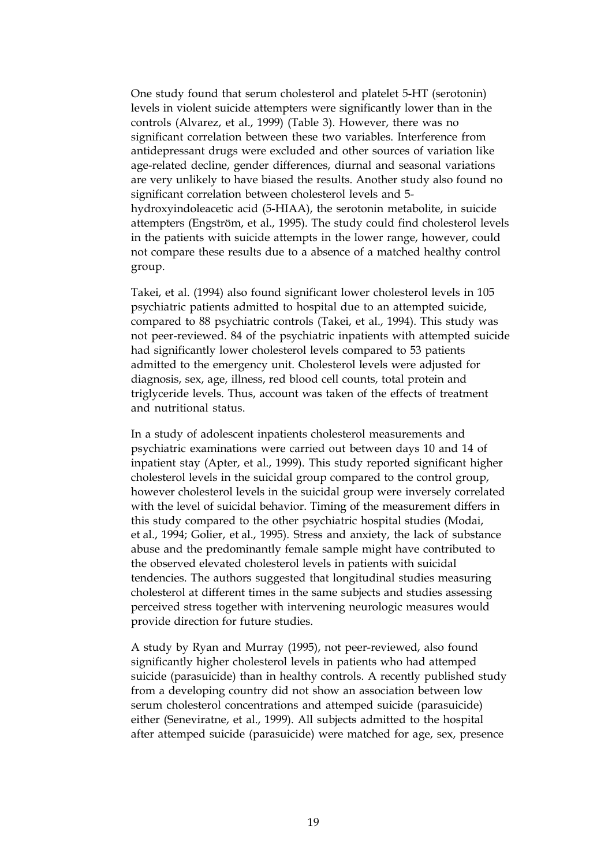One study found that serum cholesterol and platelet 5-HT (serotonin) levels in violent suicide attempters were significantly lower than in the controls (Alvarez, et al., 1999) (Table 3). However, there was no significant correlation between these two variables. Interference from antidepressant drugs were excluded and other sources of variation like age-related decline, gender differences, diurnal and seasonal variations are very unlikely to have biased the results. Another study also found no significant correlation between cholesterol levels and 5 hydroxyindoleacetic acid (5-HIAA), the serotonin metabolite, in suicide attempters (Engström, et al., 1995). The study could find cholesterol levels in the patients with suicide attempts in the lower range, however, could not compare these results due to a absence of a matched healthy control group.

Takei, et al. (1994) also found significant lower cholesterol levels in 105 psychiatric patients admitted to hospital due to an attempted suicide, compared to 88 psychiatric controls (Takei, et al., 1994). This study was not peer-reviewed. 84 of the psychiatric inpatients with attempted suicide had significantly lower cholesterol levels compared to 53 patients admitted to the emergency unit. Cholesterol levels were adjusted for diagnosis, sex, age, illness, red blood cell counts, total protein and triglyceride levels. Thus, account was taken of the effects of treatment and nutritional status.

In a study of adolescent inpatients cholesterol measurements and psychiatric examinations were carried out between days 10 and 14 of inpatient stay (Apter, et al., 1999). This study reported significant higher cholesterol levels in the suicidal group compared to the control group, however cholesterol levels in the suicidal group were inversely correlated with the level of suicidal behavior. Timing of the measurement differs in this study compared to the other psychiatric hospital studies (Modai, et al., 1994; Golier, et al., 1995). Stress and anxiety, the lack of substance abuse and the predominantly female sample might have contributed to the observed elevated cholesterol levels in patients with suicidal tendencies. The authors suggested that longitudinal studies measuring cholesterol at different times in the same subjects and studies assessing perceived stress together with intervening neurologic measures would provide direction for future studies.

A study by Ryan and Murray (1995), not peer-reviewed, also found significantly higher cholesterol levels in patients who had attemped suicide (parasuicide) than in healthy controls. A recently published study from a developing country did not show an association between low serum cholesterol concentrations and attemped suicide (parasuicide) either (Seneviratne, et al., 1999). All subjects admitted to the hospital after attemped suicide (parasuicide) were matched for age, sex, presence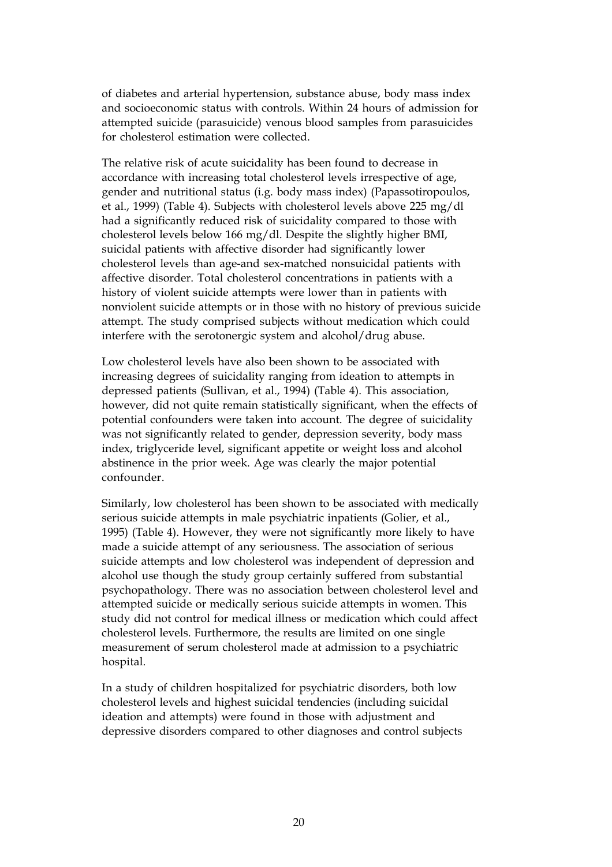of diabetes and arterial hypertension, substance abuse, body mass index and socioeconomic status with controls. Within 24 hours of admission for attempted suicide (parasuicide) venous blood samples from parasuicides for cholesterol estimation were collected.

The relative risk of acute suicidality has been found to decrease in accordance with increasing total cholesterol levels irrespective of age, gender and nutritional status (i.g. body mass index) (Papassotiropoulos, et al., 1999) (Table 4). Subjects with cholesterol levels above 225 mg/dl had a significantly reduced risk of suicidality compared to those with cholesterol levels below 166 mg/dl. Despite the slightly higher BMI, suicidal patients with affective disorder had significantly lower cholesterol levels than age-and sex-matched nonsuicidal patients with affective disorder. Total cholesterol concentrations in patients with a history of violent suicide attempts were lower than in patients with nonviolent suicide attempts or in those with no history of previous suicide attempt. The study comprised subjects without medication which could interfere with the serotonergic system and alcohol/drug abuse.

Low cholesterol levels have also been shown to be associated with increasing degrees of suicidality ranging from ideation to attempts in depressed patients (Sullivan, et al., 1994) (Table 4). This association, however, did not quite remain statistically significant, when the effects of potential confounders were taken into account. The degree of suicidality was not significantly related to gender, depression severity, body mass index, triglyceride level, significant appetite or weight loss and alcohol abstinence in the prior week. Age was clearly the major potential confounder.

Similarly, low cholesterol has been shown to be associated with medically serious suicide attempts in male psychiatric inpatients (Golier, et al., 1995) (Table 4). However, they were not significantly more likely to have made a suicide attempt of any seriousness. The association of serious suicide attempts and low cholesterol was independent of depression and alcohol use though the study group certainly suffered from substantial psychopathology. There was no association between cholesterol level and attempted suicide or medically serious suicide attempts in women. This study did not control for medical illness or medication which could affect cholesterol levels. Furthermore, the results are limited on one single measurement of serum cholesterol made at admission to a psychiatric hospital.

In a study of children hospitalized for psychiatric disorders, both low cholesterol levels and highest suicidal tendencies (including suicidal ideation and attempts) were found in those with adjustment and depressive disorders compared to other diagnoses and control subjects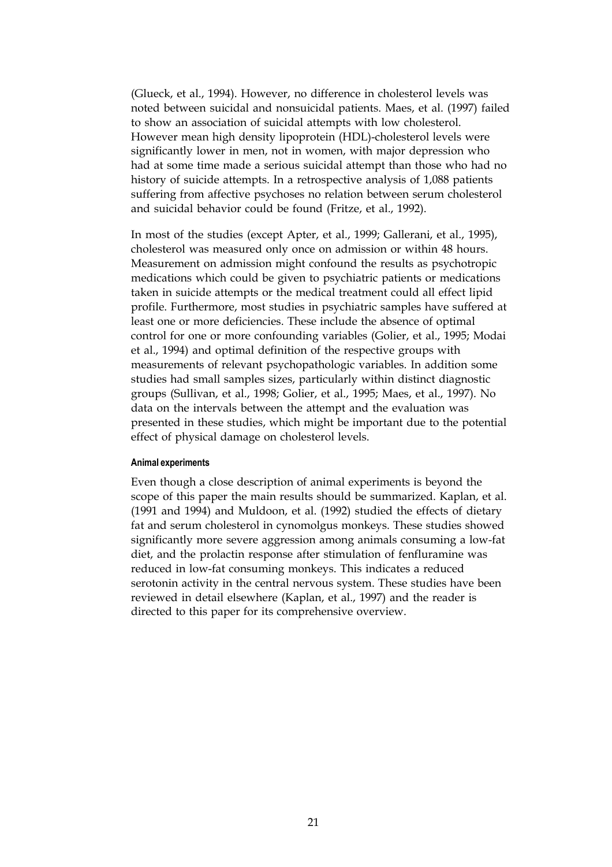(Glueck, et al., 1994). However, no difference in cholesterol levels was noted between suicidal and nonsuicidal patients. Maes, et al. (1997) failed to show an association of suicidal attempts with low cholesterol. However mean high density lipoprotein (HDL)-cholesterol levels were significantly lower in men, not in women, with major depression who had at some time made a serious suicidal attempt than those who had no history of suicide attempts. In a retrospective analysis of 1,088 patients suffering from affective psychoses no relation between serum cholesterol and suicidal behavior could be found (Fritze, et al., 1992).

In most of the studies (except Apter, et al., 1999; Gallerani, et al., 1995), cholesterol was measured only once on admission or within 48 hours. Measurement on admission might confound the results as psychotropic medications which could be given to psychiatric patients or medications taken in suicide attempts or the medical treatment could all effect lipid profile. Furthermore, most studies in psychiatric samples have suffered at least one or more deficiencies. These include the absence of optimal control for one or more confounding variables (Golier, et al., 1995; Modai et al., 1994) and optimal definition of the respective groups with measurements of relevant psychopathologic variables. In addition some studies had small samples sizes, particularly within distinct diagnostic groups (Sullivan, et al., 1998; Golier, et al., 1995; Maes, et al., 1997). No data on the intervals between the attempt and the evaluation was presented in these studies, which might be important due to the potential effect of physical damage on cholesterol levels.

#### **Animal experiments**

Even though a close description of animal experiments is beyond the scope of this paper the main results should be summarized. Kaplan, et al. (1991 and 1994) and Muldoon, et al. (1992) studied the effects of dietary fat and serum cholesterol in cynomolgus monkeys. These studies showed significantly more severe aggression among animals consuming a low-fat diet, and the prolactin response after stimulation of fenfluramine was reduced in low-fat consuming monkeys. This indicates a reduced serotonin activity in the central nervous system. These studies have been reviewed in detail elsewhere (Kaplan, et al., 1997) and the reader is directed to this paper for its comprehensive overview.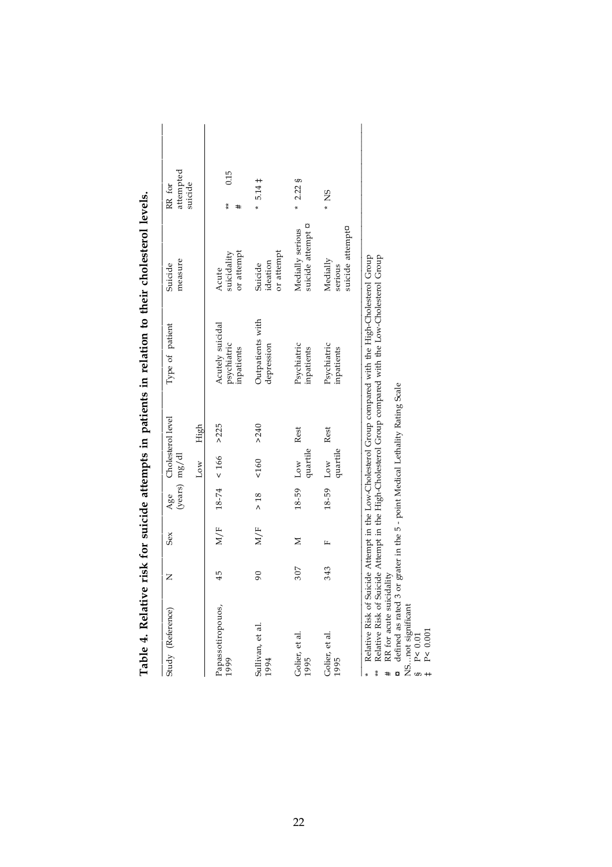| Table 4. Relative         |     |     |        |                                        |       | risk for suicide attempts in patients in relation to their cholesterol levels.                                                                                                                                   |                                              |                     |
|---------------------------|-----|-----|--------|----------------------------------------|-------|------------------------------------------------------------------------------------------------------------------------------------------------------------------------------------------------------------------|----------------------------------------------|---------------------|
| Study (Reference)         | Z   | Sex | Age    | Cholesterol level<br>$(years)$ $mg/dl$ |       | Type of patient                                                                                                                                                                                                  | measure<br>Suicide                           | attempted<br>RR for |
|                           |     |     |        | $_{\text{Low}}$                        | High  |                                                                                                                                                                                                                  |                                              | suicide             |
| Papassotiropouos,<br>1999 | 45  | M/F |        | $18-74$ < 166 > 225                    |       | Acutely suicidal<br>psychiatric<br>inpatients                                                                                                                                                                    | or attempt<br>suicidality<br>Acute           | 0.15<br>ŧ<br>#      |
| Sullivan, et al.<br>1994  | 90  | M/F | $> 18$ | 160                                    | > 240 | Outpatients with<br>depression                                                                                                                                                                                   | or attempt<br>ideation<br>Suicide            | $5.14 \pm$<br>×     |
| Golier, et al.<br>1995    | 307 | Z   | 18-59  | quartile<br>Low                        | Rest  | Psychiatric<br>inpatients                                                                                                                                                                                        | suicide attempt <b>D</b><br>Medially serious | $* 2.22$ §          |
| Golier, et al.<br>1995    | 343 | щ   | 18-59  | quartile<br>$_{\text{Low}}$            | Rest  | Psychiatric<br>inpatients                                                                                                                                                                                        | suicide attempt¤<br>Medially<br>serious      | $*$ NS              |
| $\ast$                    |     |     |        |                                        |       | Relative Risk of Suicide Attempt in the High-Cholesterol Group compared with the Low-Cholesterol Group<br>Relative Risk of Suicide Attempt in the Low-Cholesterol Group compared with the High-Cholesterol Group |                                              |                     |

\*\* Relative Risk of Suicide Attempt in the High-Cholesterol Group compared with the Low-Cholesterol Group  $\bar{r}$ ե<br>Գ i<br>P į.

# RR for acute suicidality

**#** RR for acute suicidality<br> **¤** defined as rated 3 or grater in the 5 - point Medical Lethality Rating Scale<br>
SP < 0.01<br>
# P < 0.001 defined as rated 3 or grater in the 5 - point Medical Lethality Rating Scale

NS…not significant

§ P< 0.01

‡ P< 0.001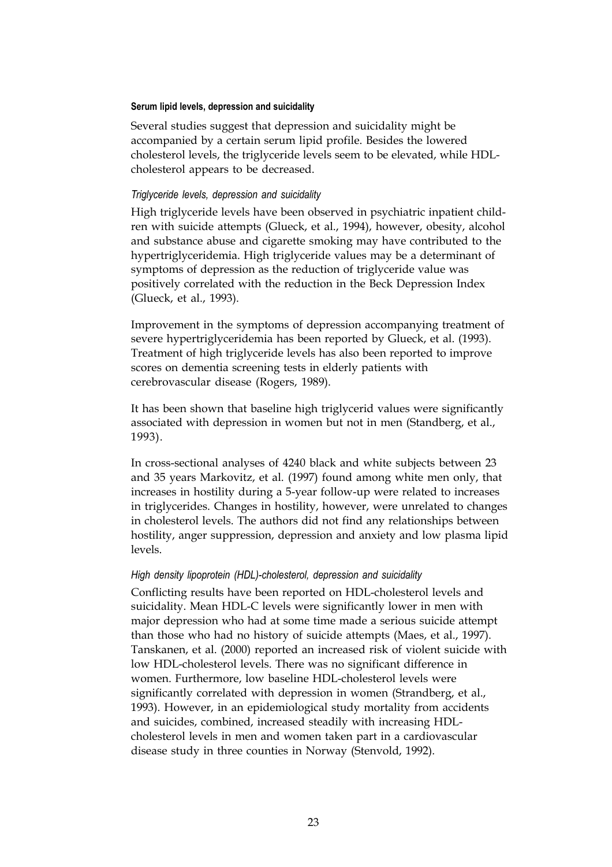#### **Serum lipid levels, depression and suicidality**

Several studies suggest that depression and suicidality might be accompanied by a certain serum lipid profile. Besides the lowered cholesterol levels, the triglyceride levels seem to be elevated, while HDLcholesterol appears to be decreased.

#### *Triglyceride levels, depression and suicidality*

High triglyceride levels have been observed in psychiatric inpatient children with suicide attempts (Glueck, et al., 1994), however, obesity, alcohol and substance abuse and cigarette smoking may have contributed to the hypertriglyceridemia. High triglyceride values may be a determinant of symptoms of depression as the reduction of triglyceride value was positively correlated with the reduction in the Beck Depression Index (Glueck, et al., 1993).

Improvement in the symptoms of depression accompanying treatment of severe hypertriglyceridemia has been reported by Glueck, et al. (1993). Treatment of high triglyceride levels has also been reported to improve scores on dementia screening tests in elderly patients with cerebrovascular disease (Rogers, 1989).

It has been shown that baseline high triglycerid values were significantly associated with depression in women but not in men (Standberg, et al., 1993).

In cross-sectional analyses of 4240 black and white subjects between 23 and 35 years Markovitz, et al. (1997) found among white men only, that increases in hostility during a 5-year follow-up were related to increases in triglycerides. Changes in hostility, however, were unrelated to changes in cholesterol levels. The authors did not find any relationships between hostility, anger suppression, depression and anxiety and low plasma lipid levels.

#### *High density lipoprotein (HDL)-cholesterol, depression and suicidality*

Conflicting results have been reported on HDL-cholesterol levels and suicidality. Mean HDL-C levels were significantly lower in men with major depression who had at some time made a serious suicide attempt than those who had no history of suicide attempts (Maes, et al., 1997). Tanskanen, et al. (2000) reported an increased risk of violent suicide with low HDL-cholesterol levels. There was no significant difference in women. Furthermore, low baseline HDL-cholesterol levels were significantly correlated with depression in women (Strandberg, et al., 1993). However, in an epidemiological study mortality from accidents and suicides, combined, increased steadily with increasing HDLcholesterol levels in men and women taken part in a cardiovascular disease study in three counties in Norway (Stenvold, 1992).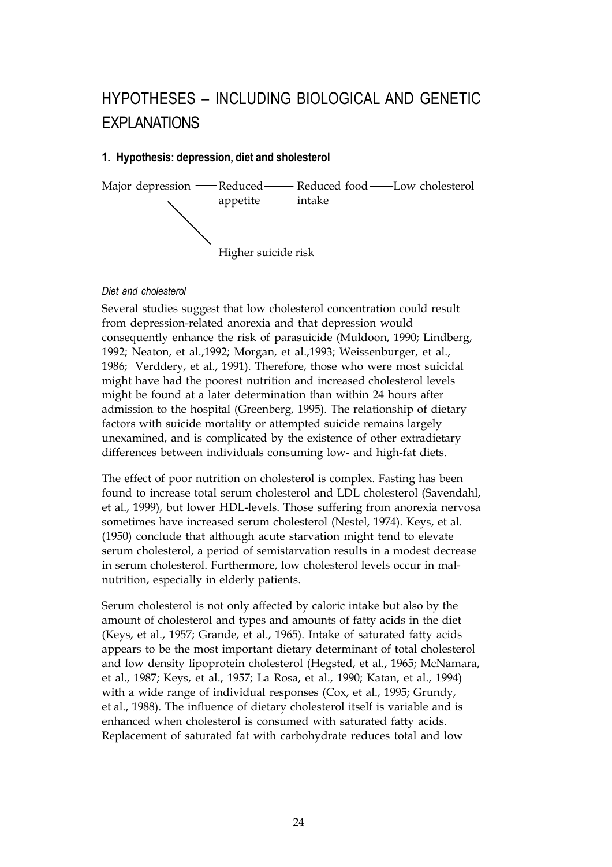## HYPOTHESES – INCLUDING BIOLOGICAL AND GENETIC **EXPLANATIONS**

#### **1. Hypothesis: depression, diet and sholesterol**



#### *Diet and cholesterol*

Several studies suggest that low cholesterol concentration could result from depression-related anorexia and that depression would consequently enhance the risk of parasuicide (Muldoon, 1990; Lindberg, 1992; Neaton, et al.,1992; Morgan, et al.,1993; Weissenburger, et al., 1986; Verddery, et al., 1991). Therefore, those who were most suicidal might have had the poorest nutrition and increased cholesterol levels might be found at a later determination than within 24 hours after admission to the hospital (Greenberg, 1995). The relationship of dietary factors with suicide mortality or attempted suicide remains largely unexamined, and is complicated by the existence of other extradietary differences between individuals consuming low- and high-fat diets.

The effect of poor nutrition on cholesterol is complex. Fasting has been found to increase total serum cholesterol and LDL cholesterol (Savendahl, et al., 1999), but lower HDL-levels. Those suffering from anorexia nervosa sometimes have increased serum cholesterol (Nestel, 1974). Keys, et al. (1950) conclude that although acute starvation might tend to elevate serum cholesterol, a period of semistarvation results in a modest decrease in serum cholesterol. Furthermore, low cholesterol levels occur in malnutrition, especially in elderly patients.

Serum cholesterol is not only affected by caloric intake but also by the amount of cholesterol and types and amounts of fatty acids in the diet (Keys, et al., 1957; Grande, et al., 1965). Intake of saturated fatty acids appears to be the most important dietary determinant of total cholesterol and low density lipoprotein cholesterol (Hegsted, et al., 1965; McNamara, et al., 1987; Keys, et al., 1957; La Rosa, et al., 1990; Katan, et al., 1994) with a wide range of individual responses (Cox, et al., 1995; Grundy, et al., 1988). The influence of dietary cholesterol itself is variable and is enhanced when cholesterol is consumed with saturated fatty acids. Replacement of saturated fat with carbohydrate reduces total and low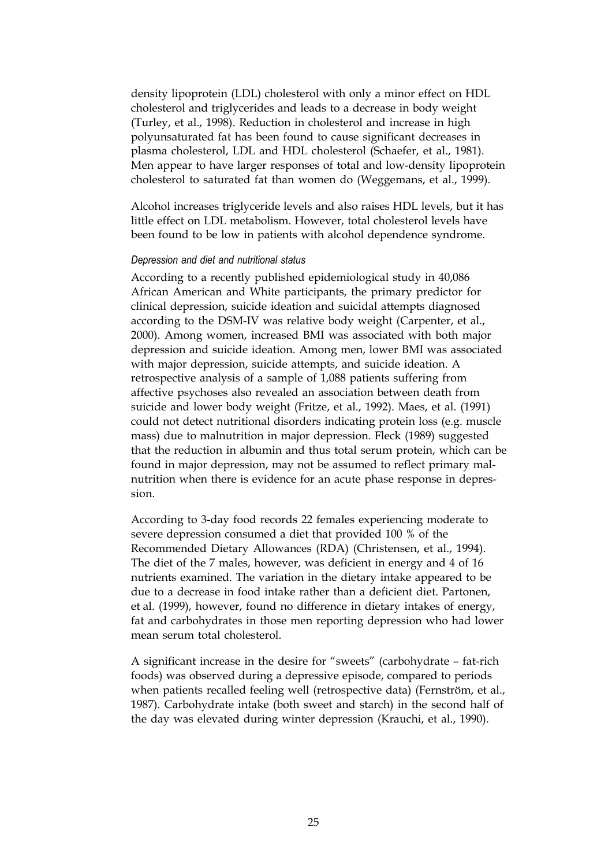density lipoprotein (LDL) cholesterol with only a minor effect on HDL cholesterol and triglycerides and leads to a decrease in body weight (Turley, et al., 1998). Reduction in cholesterol and increase in high polyunsaturated fat has been found to cause significant decreases in plasma cholesterol, LDL and HDL cholesterol (Schaefer, et al., 1981). Men appear to have larger responses of total and low-density lipoprotein cholesterol to saturated fat than women do (Weggemans, et al., 1999).

Alcohol increases triglyceride levels and also raises HDL levels, but it has little effect on LDL metabolism. However, total cholesterol levels have been found to be low in patients with alcohol dependence syndrome.

#### *Depression and diet and nutritional status*

According to a recently published epidemiological study in 40,086 African American and White participants, the primary predictor for clinical depression, suicide ideation and suicidal attempts diagnosed according to the DSM-IV was relative body weight (Carpenter, et al., 2000). Among women, increased BMI was associated with both major depression and suicide ideation. Among men, lower BMI was associated with major depression, suicide attempts, and suicide ideation. A retrospective analysis of a sample of 1,088 patients suffering from affective psychoses also revealed an association between death from suicide and lower body weight (Fritze, et al., 1992). Maes, et al. (1991) could not detect nutritional disorders indicating protein loss (e.g. muscle mass) due to malnutrition in major depression. Fleck (1989) suggested that the reduction in albumin and thus total serum protein, which can be found in major depression, may not be assumed to reflect primary malnutrition when there is evidence for an acute phase response in depression.

According to 3-day food records 22 females experiencing moderate to severe depression consumed a diet that provided 100 % of the Recommended Dietary Allowances (RDA) (Christensen, et al., 1994). The diet of the 7 males, however, was deficient in energy and 4 of 16 nutrients examined. The variation in the dietary intake appeared to be due to a decrease in food intake rather than a deficient diet. Partonen, et al. (1999), however, found no difference in dietary intakes of energy, fat and carbohydrates in those men reporting depression who had lower mean serum total cholesterol.

A significant increase in the desire for "sweets" (carbohydrate – fat-rich foods) was observed during a depressive episode, compared to periods when patients recalled feeling well (retrospective data) (Fernström, et al., 1987). Carbohydrate intake (both sweet and starch) in the second half of the day was elevated during winter depression (Krauchi, et al., 1990).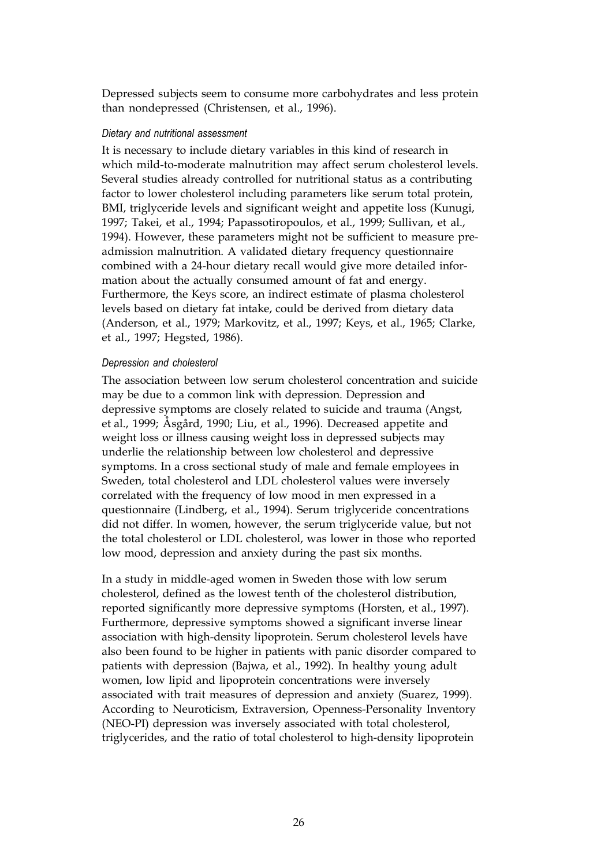Depressed subjects seem to consume more carbohydrates and less protein than nondepressed (Christensen, et al., 1996).

#### *Dietary and nutritional assessment*

It is necessary to include dietary variables in this kind of research in which mild-to-moderate malnutrition may affect serum cholesterol levels. Several studies already controlled for nutritional status as a contributing factor to lower cholesterol including parameters like serum total protein, BMI, triglyceride levels and significant weight and appetite loss (Kunugi, 1997; Takei, et al., 1994; Papassotiropoulos, et al., 1999; Sullivan, et al., 1994). However, these parameters might not be sufficient to measure preadmission malnutrition. A validated dietary frequency questionnaire combined with a 24-hour dietary recall would give more detailed information about the actually consumed amount of fat and energy. Furthermore, the Keys score, an indirect estimate of plasma cholesterol levels based on dietary fat intake, could be derived from dietary data (Anderson, et al., 1979; Markovitz, et al., 1997; Keys, et al., 1965; Clarke, et al., 1997; Hegsted, 1986).

#### *Depression and cholesterol*

The association between low serum cholesterol concentration and suicide may be due to a common link with depression. Depression and depressive symptoms are closely related to suicide and trauma (Angst, et al., 1999; Åsgård, 1990; Liu, et al., 1996). Decreased appetite and weight loss or illness causing weight loss in depressed subjects may underlie the relationship between low cholesterol and depressive symptoms. In a cross sectional study of male and female employees in Sweden, total cholesterol and LDL cholesterol values were inversely correlated with the frequency of low mood in men expressed in a questionnaire (Lindberg, et al., 1994). Serum triglyceride concentrations did not differ. In women, however, the serum triglyceride value, but not the total cholesterol or LDL cholesterol, was lower in those who reported low mood, depression and anxiety during the past six months.

In a study in middle-aged women in Sweden those with low serum cholesterol, defined as the lowest tenth of the cholesterol distribution, reported significantly more depressive symptoms (Horsten, et al., 1997). Furthermore, depressive symptoms showed a significant inverse linear association with high-density lipoprotein. Serum cholesterol levels have also been found to be higher in patients with panic disorder compared to patients with depression (Bajwa, et al., 1992). In healthy young adult women, low lipid and lipoprotein concentrations were inversely associated with trait measures of depression and anxiety (Suarez, 1999). According to Neuroticism, Extraversion, Openness-Personality Inventory (NEO-PI) depression was inversely associated with total cholesterol, triglycerides, and the ratio of total cholesterol to high-density lipoprotein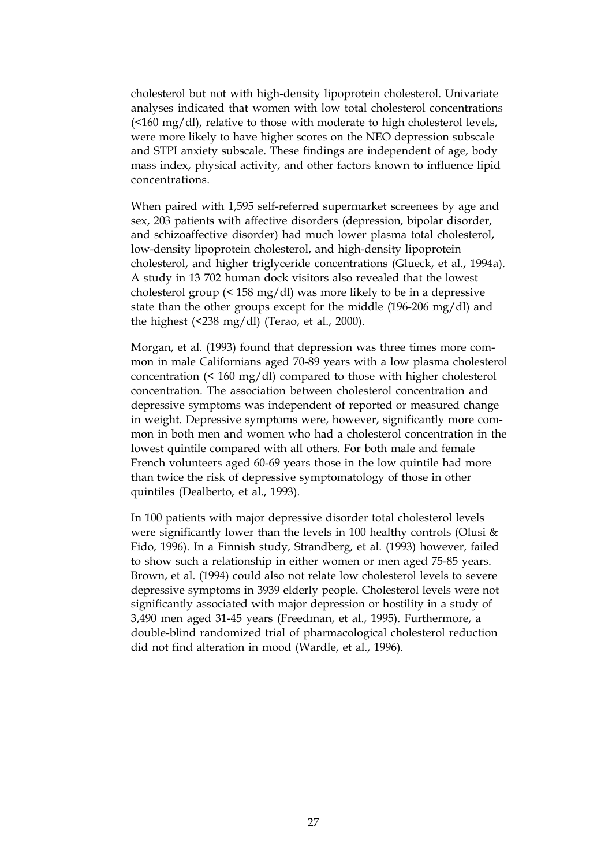cholesterol but not with high-density lipoprotein cholesterol. Univariate analyses indicated that women with low total cholesterol concentrations (<160 mg/dl), relative to those with moderate to high cholesterol levels, were more likely to have higher scores on the NEO depression subscale and STPI anxiety subscale. These findings are independent of age, body mass index, physical activity, and other factors known to influence lipid concentrations.

When paired with 1,595 self-referred supermarket screenees by age and sex, 203 patients with affective disorders (depression, bipolar disorder, and schizoaffective disorder) had much lower plasma total cholesterol, low-density lipoprotein cholesterol, and high-density lipoprotein cholesterol, and higher triglyceride concentrations (Glueck, et al., 1994a). A study in 13 702 human dock visitors also revealed that the lowest cholesterol group (< 158 mg/dl) was more likely to be in a depressive state than the other groups except for the middle (196-206 mg/dl) and the highest  $($  <math>238 \text{ mg/dl}</math>) (Terao, et al., 2000).

Morgan, et al. (1993) found that depression was three times more common in male Californians aged 70-89 years with a low plasma cholesterol concentration (< 160 mg/dl) compared to those with higher cholesterol concentration. The association between cholesterol concentration and depressive symptoms was independent of reported or measured change in weight. Depressive symptoms were, however, significantly more common in both men and women who had a cholesterol concentration in the lowest quintile compared with all others. For both male and female French volunteers aged 60-69 years those in the low quintile had more than twice the risk of depressive symptomatology of those in other quintiles (Dealberto, et al., 1993).

In 100 patients with major depressive disorder total cholesterol levels were significantly lower than the levels in 100 healthy controls (Olusi & Fido, 1996). In a Finnish study, Strandberg, et al. (1993) however, failed to show such a relationship in either women or men aged 75-85 years. Brown, et al. (1994) could also not relate low cholesterol levels to severe depressive symptoms in 3939 elderly people. Cholesterol levels were not significantly associated with major depression or hostility in a study of 3,490 men aged 31-45 years (Freedman, et al., 1995). Furthermore, a double-blind randomized trial of pharmacological cholesterol reduction did not find alteration in mood (Wardle, et al., 1996).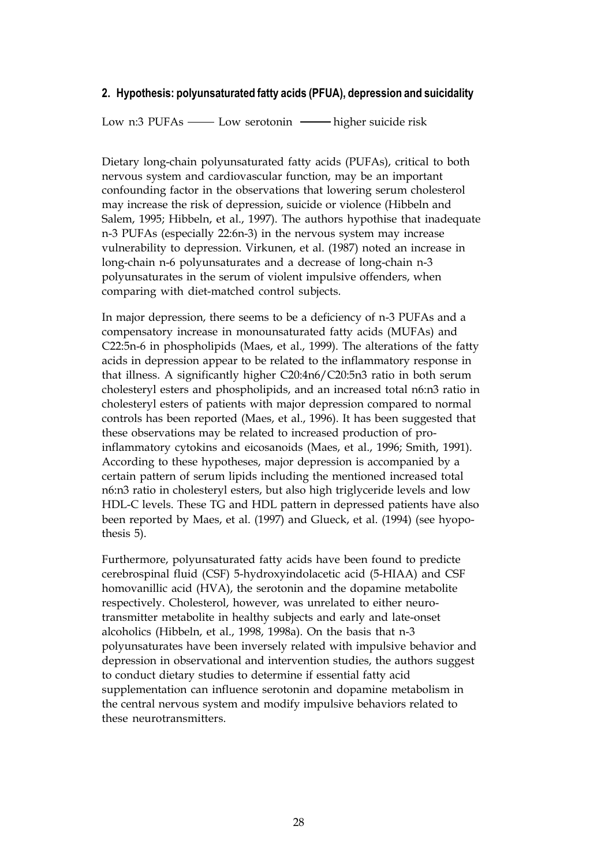#### **2. Hypothesis: polyunsaturated fatty acids (PFUA), depression and suicidality**

Low n:3 PUFAs — Low serotonin — higher suicide risk

Dietary long-chain polyunsaturated fatty acids (PUFAs), critical to both nervous system and cardiovascular function, may be an important confounding factor in the observations that lowering serum cholesterol may increase the risk of depression, suicide or violence (Hibbeln and Salem, 1995; Hibbeln, et al., 1997). The authors hypothise that inadequate n-3 PUFAs (especially 22:6n-3) in the nervous system may increase vulnerability to depression. Virkunen, et al. (1987) noted an increase in long-chain n-6 polyunsaturates and a decrease of long-chain n-3 polyunsaturates in the serum of violent impulsive offenders, when comparing with diet-matched control subjects.

In major depression, there seems to be a deficiency of n-3 PUFAs and a compensatory increase in monounsaturated fatty acids (MUFAs) and C22:5n-6 in phospholipids (Maes, et al., 1999). The alterations of the fatty acids in depression appear to be related to the inflammatory response in that illness. A significantly higher C20:4n6/C20:5n3 ratio in both serum cholesteryl esters and phospholipids, and an increased total n6:n3 ratio in cholesteryl esters of patients with major depression compared to normal controls has been reported (Maes, et al., 1996). It has been suggested that these observations may be related to increased production of proinflammatory cytokins and eicosanoids (Maes, et al., 1996; Smith, 1991). According to these hypotheses, major depression is accompanied by a certain pattern of serum lipids including the mentioned increased total n6:n3 ratio in cholesteryl esters, but also high triglyceride levels and low HDL-C levels. These TG and HDL pattern in depressed patients have also been reported by Maes, et al. (1997) and Glueck, et al. (1994) (see hyopothesis 5).

Furthermore, polyunsaturated fatty acids have been found to predicte cerebrospinal fluid (CSF) 5-hydroxyindolacetic acid (5-HIAA) and CSF homovanillic acid (HVA), the serotonin and the dopamine metabolite respectively. Cholesterol, however, was unrelated to either neurotransmitter metabolite in healthy subjects and early and late-onset alcoholics (Hibbeln, et al., 1998, 1998a). On the basis that n-3 polyunsaturates have been inversely related with impulsive behavior and depression in observational and intervention studies, the authors suggest to conduct dietary studies to determine if essential fatty acid supplementation can influence serotonin and dopamine metabolism in the central nervous system and modify impulsive behaviors related to these neurotransmitters.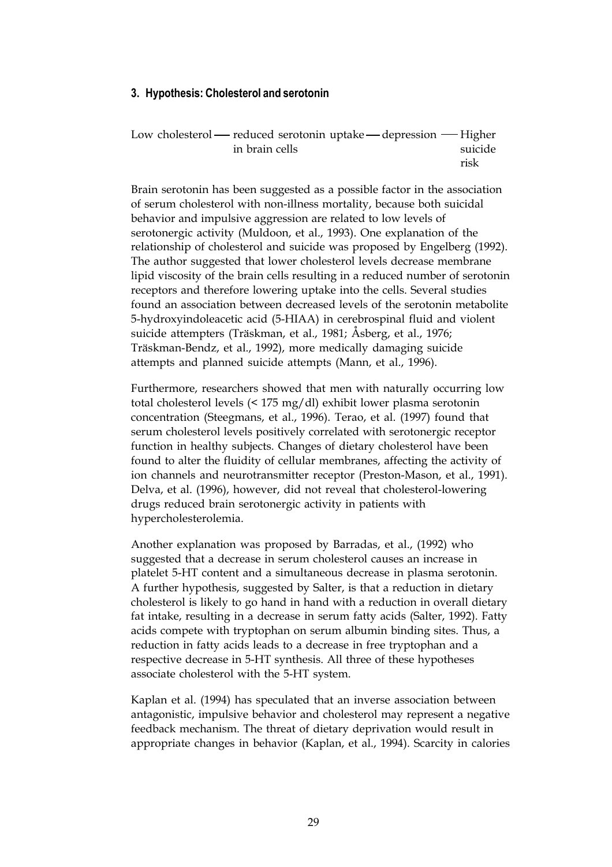#### **3. Hypothesis: Cholesterol and serotonin**

| Low cholesterol — reduced serotonin uptake — depression — Higher |         |
|------------------------------------------------------------------|---------|
| in brain cells                                                   | suicide |
|                                                                  | risk    |

Brain serotonin has been suggested as a possible factor in the association of serum cholesterol with non-illness mortality, because both suicidal behavior and impulsive aggression are related to low levels of serotonergic activity (Muldoon, et al., 1993). One explanation of the relationship of cholesterol and suicide was proposed by Engelberg (1992). The author suggested that lower cholesterol levels decrease membrane lipid viscosity of the brain cells resulting in a reduced number of serotonin receptors and therefore lowering uptake into the cells. Several studies found an association between decreased levels of the serotonin metabolite 5-hydroxyindoleacetic acid (5-HIAA) in cerebrospinal fluid and violent suicide attempters (Träskman, et al., 1981; Åsberg, et al., 1976; Träskman-Bendz, et al., 1992), more medically damaging suicide attempts and planned suicide attempts (Mann, et al., 1996).

Furthermore, researchers showed that men with naturally occurring low total cholesterol levels (< 175 mg/dl) exhibit lower plasma serotonin concentration (Steegmans, et al., 1996). Terao, et al. (1997) found that serum cholesterol levels positively correlated with serotonergic receptor function in healthy subjects. Changes of dietary cholesterol have been found to alter the fluidity of cellular membranes, affecting the activity of ion channels and neurotransmitter receptor (Preston-Mason, et al., 1991). Delva, et al. (1996), however, did not reveal that cholesterol-lowering drugs reduced brain serotonergic activity in patients with hypercholesterolemia.

Another explanation was proposed by Barradas, et al., (1992) who suggested that a decrease in serum cholesterol causes an increase in platelet 5-HT content and a simultaneous decrease in plasma serotonin. A further hypothesis, suggested by Salter, is that a reduction in dietary cholesterol is likely to go hand in hand with a reduction in overall dietary fat intake, resulting in a decrease in serum fatty acids (Salter, 1992). Fatty acids compete with tryptophan on serum albumin binding sites. Thus, a reduction in fatty acids leads to a decrease in free tryptophan and a respective decrease in 5-HT synthesis. All three of these hypotheses associate cholesterol with the 5-HT system.

Kaplan et al. (1994) has speculated that an inverse association between antagonistic, impulsive behavior and cholesterol may represent a negative feedback mechanism. The threat of dietary deprivation would result in appropriate changes in behavior (Kaplan, et al., 1994). Scarcity in calories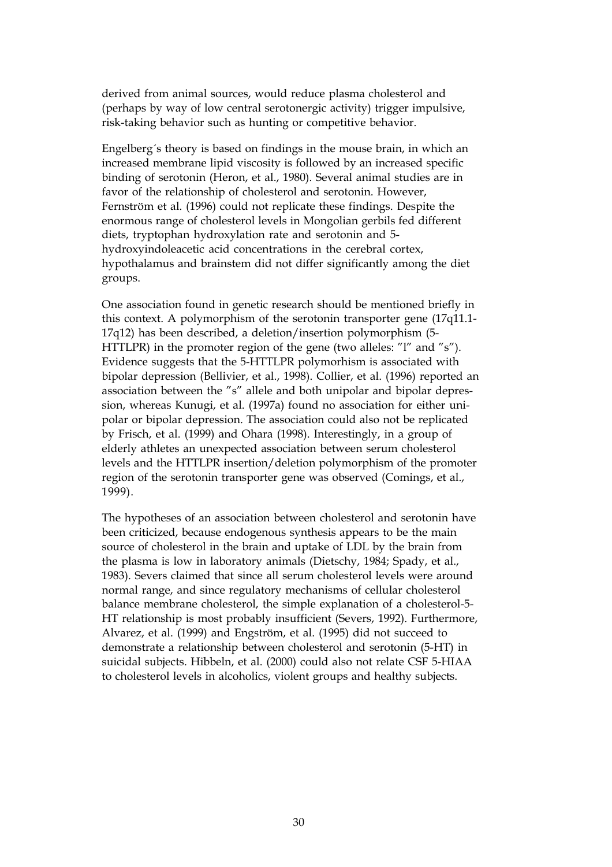derived from animal sources, would reduce plasma cholesterol and (perhaps by way of low central serotonergic activity) trigger impulsive, risk-taking behavior such as hunting or competitive behavior.

Engelberg´s theory is based on findings in the mouse brain, in which an increased membrane lipid viscosity is followed by an increased specific binding of serotonin (Heron, et al., 1980). Several animal studies are in favor of the relationship of cholesterol and serotonin. However, Fernström et al. (1996) could not replicate these findings. Despite the enormous range of cholesterol levels in Mongolian gerbils fed different diets, tryptophan hydroxylation rate and serotonin and 5 hydroxyindoleacetic acid concentrations in the cerebral cortex, hypothalamus and brainstem did not differ significantly among the diet groups.

One association found in genetic research should be mentioned briefly in this context. A polymorphism of the serotonin transporter gene (17q11.1- 17q12) has been described, a deletion/insertion polymorphism (5- HTTLPR) in the promoter region of the gene (two alleles: "l" and "s"). Evidence suggests that the 5-HTTLPR polymorhism is associated with bipolar depression (Bellivier, et al., 1998). Collier, et al. (1996) reported an association between the "s" allele and both unipolar and bipolar depression, whereas Kunugi, et al. (1997a) found no association for either unipolar or bipolar depression. The association could also not be replicated by Frisch, et al. (1999) and Ohara (1998). Interestingly, in a group of elderly athletes an unexpected association between serum cholesterol levels and the HTTLPR insertion/deletion polymorphism of the promoter region of the serotonin transporter gene was observed (Comings, et al., 1999).

The hypotheses of an association between cholesterol and serotonin have been criticized, because endogenous synthesis appears to be the main source of cholesterol in the brain and uptake of LDL by the brain from the plasma is low in laboratory animals (Dietschy, 1984; Spady, et al., 1983). Severs claimed that since all serum cholesterol levels were around normal range, and since regulatory mechanisms of cellular cholesterol balance membrane cholesterol, the simple explanation of a cholesterol-5- HT relationship is most probably insufficient (Severs, 1992). Furthermore, Alvarez, et al. (1999) and Engström, et al. (1995) did not succeed to demonstrate a relationship between cholesterol and serotonin (5-HT) in suicidal subjects. Hibbeln, et al. (2000) could also not relate CSF 5-HIAA to cholesterol levels in alcoholics, violent groups and healthy subjects.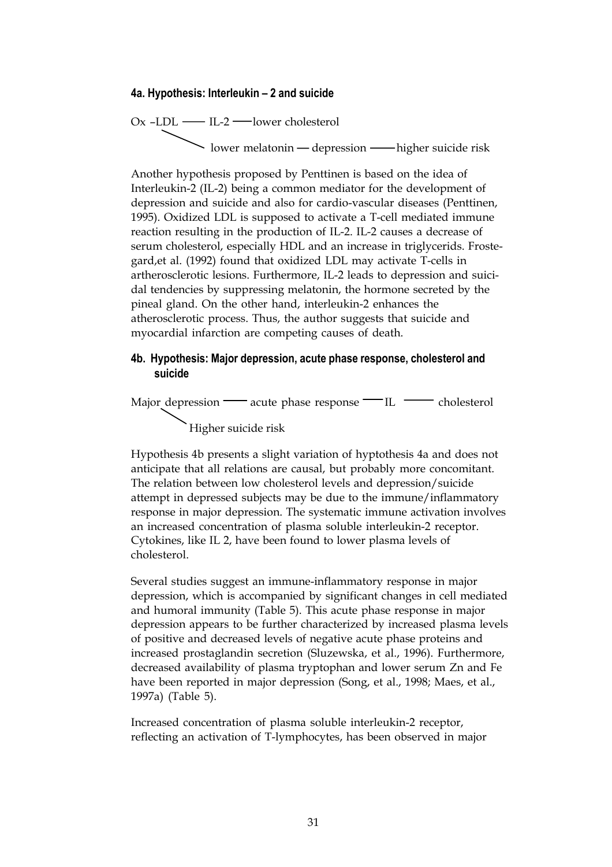#### **4a. Hypothesis: Interleukin – 2 and suicide**

Ox –LDL IL-2 lower cholesterol lower melatonin depression higher suicide risk

Another hypothesis proposed by Penttinen is based on the idea of Interleukin-2 (IL-2) being a common mediator for the development of depression and suicide and also for cardio-vascular diseases (Penttinen, 1995). Oxidized LDL is supposed to activate a T-cell mediated immune reaction resulting in the production of IL-2. IL-2 causes a decrease of serum cholesterol, especially HDL and an increase in triglycerids. Frostegard,et al. (1992) found that oxidized LDL may activate T-cells in artherosclerotic lesions. Furthermore, IL-2 leads to depression and suicidal tendencies by suppressing melatonin, the hormone secreted by the pineal gland. On the other hand, interleukin-2 enhances the atherosclerotic process. Thus, the author suggests that suicide and myocardial infarction are competing causes of death.

#### **4b. Hypothesis: Major depression, acute phase response, cholesterol and suicide**

Major depression — acute phase response — IL cholesterol Higher suicide risk

Hypothesis 4b presents a slight variation of hyptothesis 4a and does not anticipate that all relations are causal, but probably more concomitant. The relation between low cholesterol levels and depression/suicide attempt in depressed subjects may be due to the immune/inflammatory response in major depression. The systematic immune activation involves an increased concentration of plasma soluble interleukin-2 receptor. Cytokines, like IL 2, have been found to lower plasma levels of cholesterol.

Several studies suggest an immune-inflammatory response in major depression, which is accompanied by significant changes in cell mediated and humoral immunity (Table 5). This acute phase response in major depression appears to be further characterized by increased plasma levels of positive and decreased levels of negative acute phase proteins and increased prostaglandin secretion (Sluzewska, et al., 1996). Furthermore, decreased availability of plasma tryptophan and lower serum Zn and Fe have been reported in major depression (Song, et al., 1998; Maes, et al., 1997a) (Table 5).

Increased concentration of plasma soluble interleukin-2 receptor, reflecting an activation of T-lymphocytes, has been observed in major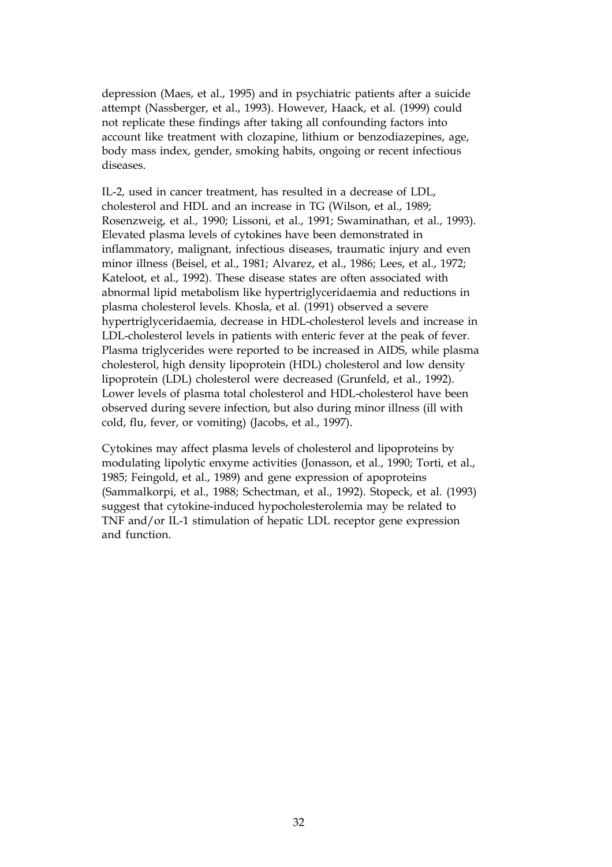depression (Maes, et al., 1995) and in psychiatric patients after a suicide attempt (Nassberger, et al., 1993). However, Haack, et al. (1999) could not replicate these findings after taking all confounding factors into account like treatment with clozapine, lithium or benzodiazepines, age, body mass index, gender, smoking habits, ongoing or recent infectious diseases.

IL-2, used in cancer treatment, has resulted in a decrease of LDL, cholesterol and HDL and an increase in TG (Wilson, et al., 1989; Rosenzweig, et al., 1990; Lissoni, et al., 1991; Swaminathan, et al., 1993). Elevated plasma levels of cytokines have been demonstrated in inflammatory, malignant, infectious diseases, traumatic injury and even minor illness (Beisel, et al., 1981; Alvarez, et al., 1986; Lees, et al., 1972; Kateloot, et al., 1992). These disease states are often associated with abnormal lipid metabolism like hypertriglyceridaemia and reductions in plasma cholesterol levels. Khosla, et al. (1991) observed a severe hypertriglyceridaemia, decrease in HDL-cholesterol levels and increase in LDL-cholesterol levels in patients with enteric fever at the peak of fever. Plasma triglycerides were reported to be increased in AIDS, while plasma cholesterol, high density lipoprotein (HDL) cholesterol and low density lipoprotein (LDL) cholesterol were decreased (Grunfeld, et al., 1992). Lower levels of plasma total cholesterol and HDL-cholesterol have been observed during severe infection, but also during minor illness (ill with cold, flu, fever, or vomiting) (Jacobs, et al., 1997).

Cytokines may affect plasma levels of cholesterol and lipoproteins by modulating lipolytic enxyme activities (Jonasson, et al., 1990; Torti, et al., 1985; Feingold, et al., 1989) and gene expression of apoproteins (Sammalkorpi, et al., 1988; Schectman, et al., 1992). Stopeck, et al. (1993) suggest that cytokine-induced hypocholesterolemia may be related to TNF and/or IL-1 stimulation of hepatic LDL receptor gene expression and function.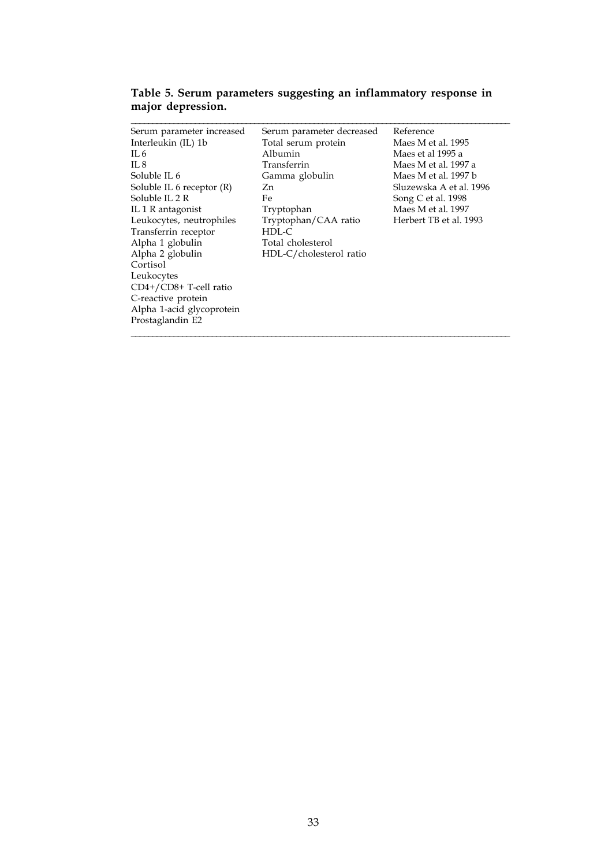| Serum parameter increased | Serum parameter decreased | Reference               |
|---------------------------|---------------------------|-------------------------|
| Interleukin (IL) 1b       | Total serum protein       | Maes M et al. 1995      |
| $\Pi.6$                   | Albumin                   | Maes et al 1995 a       |
| $\Pi.8$                   | Transferrin               | Maes M et al. 1997 a    |
| Soluble IL 6              | Gamma globulin            | Maes M et al. 1997 b    |
| Soluble IL 6 receptor (R) | Zn.                       | Sluzewska A et al. 1996 |
| Soluble II. 2 R           | Fe                        | Song C et al. 1998      |
| IL 1 R antagonist         | Tryptophan                | Maes M et al. 1997      |
| Leukocytes, neutrophiles  | Tryptophan/CAA ratio      | Herbert TB et al. 1993  |
| Transferrin receptor      | $HDL-C$                   |                         |
| Alpha 1 globulin          | Total cholesterol         |                         |
| Alpha 2 globulin          | HDL-C/cholesterol ratio   |                         |
| Cortisol                  |                           |                         |
| Leukocytes                |                           |                         |
| CD4+/CD8+ T-cell ratio    |                           |                         |
| C-reactive protein        |                           |                         |
| Alpha 1-acid glycoprotein |                           |                         |
| Prostaglandin E2          |                           |                         |
|                           |                           |                         |

**Table 5. Serum parameters suggesting an inflammatory response in major depression.**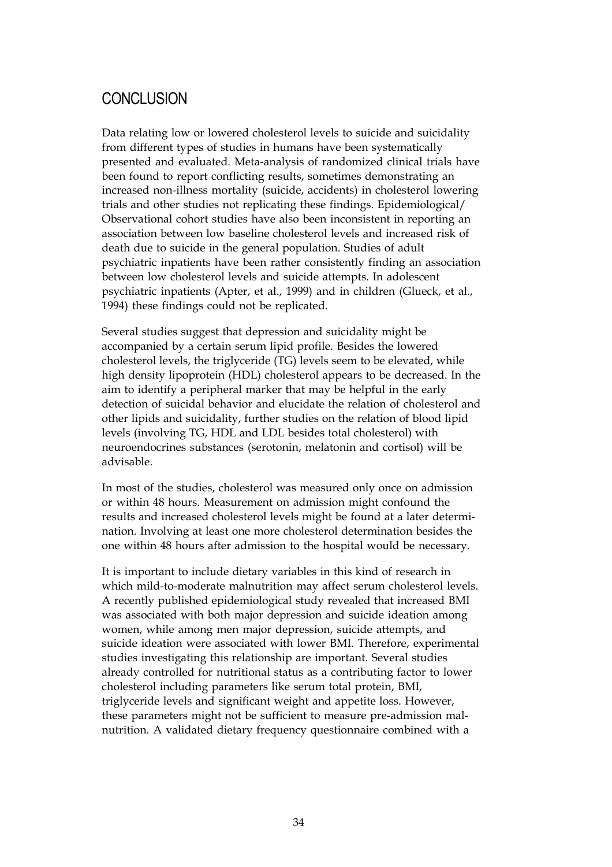### **CONCLUSION**

Data relating low or lowered cholesterol levels to suicide and suicidality from different types of studies in humans have been systematically presented and evaluated. Meta-analysis of randomized clinical trials have been found to report conflicting results, sometimes demonstrating an increased non-illness mortality (suicide, accidents) in cholesterol lowering trials and other studies not replicating these findings. Epidemiological/ Observational cohort studies have also been inconsistent in reporting an association between low baseline cholesterol levels and increased risk of death due to suicide in the general population. Studies of adult psychiatric inpatients have been rather consistently finding an association between low cholesterol levels and suicide attempts. In adolescent psychiatric inpatients (Apter, et al., 1999) and in children (Glueck, et al., 1994) these findings could not be replicated.

Several studies suggest that depression and suicidality might be accompanied by a certain serum lipid profile. Besides the lowered cholesterol levels, the triglyceride (TG) levels seem to be elevated, while high density lipoprotein (HDL) cholesterol appears to be decreased. In the aim to identify a peripheral marker that may be helpful in the early detection of suicidal behavior and elucidate the relation of cholesterol and other lipids and suicidality, further studies on the relation of blood lipid levels (involving TG, HDL and LDL besides total cholesterol) with neuroendocrines substances (serotonin, melatonin and cortisol) will be advisable.

In most of the studies, cholesterol was measured only once on admission or within 48 hours. Measurement on admission might confound the results and increased cholesterol levels might be found at a later determination. Involving at least one more cholesterol determination besides the one within 48 hours after admission to the hospital would be necessary.

It is important to include dietary variables in this kind of research in which mild-to-moderate malnutrition may affect serum cholesterol levels. A recently published epidemiological study revealed that increased BMI was associated with both major depression and suicide ideation among women, while among men major depression, suicide attempts, and suicide ideation were associated with lower BMI. Therefore, experimental studies investigating this relationship are important. Several studies already controlled for nutritional status as a contributing factor to lower cholesterol including parameters like serum total protein, BMI, triglyceride levels and significant weight and appetite loss. However, these parameters might not be sufficient to measure pre-admission malnutrition. A validated dietary frequency questionnaire combined with a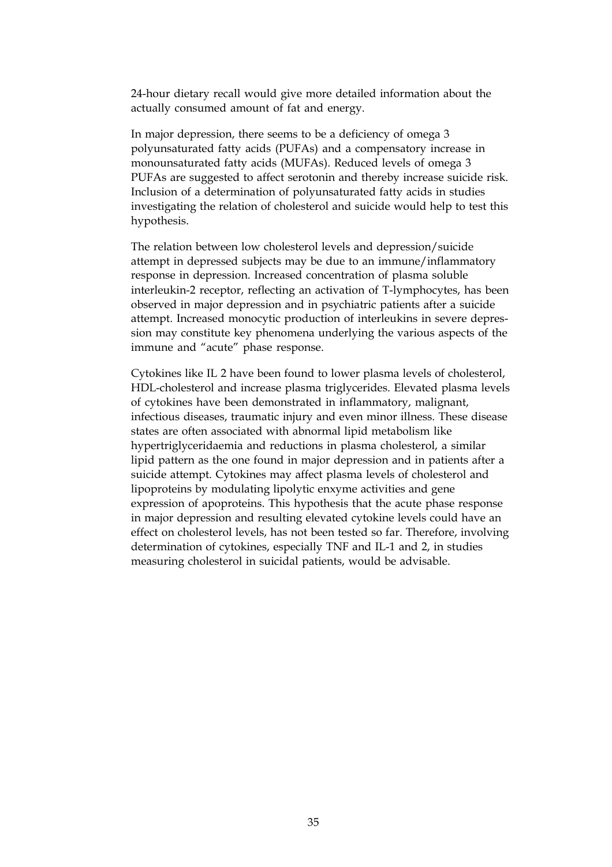24-hour dietary recall would give more detailed information about the actually consumed amount of fat and energy.

In major depression, there seems to be a deficiency of omega 3 polyunsaturated fatty acids (PUFAs) and a compensatory increase in monounsaturated fatty acids (MUFAs). Reduced levels of omega 3 PUFAs are suggested to affect serotonin and thereby increase suicide risk. Inclusion of a determination of polyunsaturated fatty acids in studies investigating the relation of cholesterol and suicide would help to test this hypothesis.

The relation between low cholesterol levels and depression/suicide attempt in depressed subjects may be due to an immune/inflammatory response in depression. Increased concentration of plasma soluble interleukin-2 receptor, reflecting an activation of T-lymphocytes, has been observed in major depression and in psychiatric patients after a suicide attempt. Increased monocytic production of interleukins in severe depression may constitute key phenomena underlying the various aspects of the immune and "acute" phase response.

Cytokines like IL 2 have been found to lower plasma levels of cholesterol, HDL-cholesterol and increase plasma triglycerides. Elevated plasma levels of cytokines have been demonstrated in inflammatory, malignant, infectious diseases, traumatic injury and even minor illness. These disease states are often associated with abnormal lipid metabolism like hypertriglyceridaemia and reductions in plasma cholesterol, a similar lipid pattern as the one found in major depression and in patients after a suicide attempt. Cytokines may affect plasma levels of cholesterol and lipoproteins by modulating lipolytic enxyme activities and gene expression of apoproteins. This hypothesis that the acute phase response in major depression and resulting elevated cytokine levels could have an effect on cholesterol levels, has not been tested so far. Therefore, involving determination of cytokines, especially TNF and IL-1 and 2, in studies measuring cholesterol in suicidal patients, would be advisable.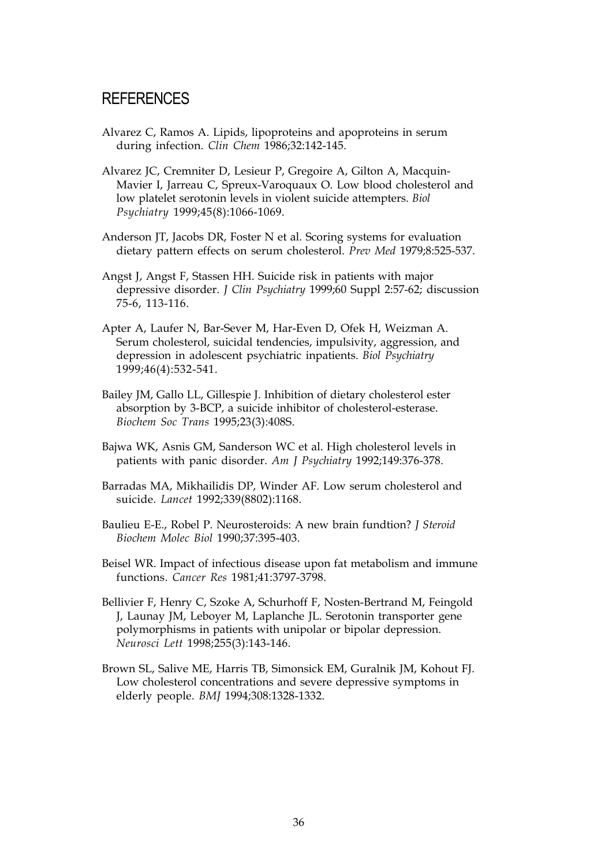### **REFERENCES**

- Alvarez C, Ramos A. Lipids, lipoproteins and apoproteins in serum during infection. *Clin Chem* 1986;32:142-145.
- Alvarez JC, Cremniter D, Lesieur P, Gregoire A, Gilton A, Macquin-Mavier I, Jarreau C, Spreux-Varoquaux O. Low blood cholesterol and low platelet serotonin levels in violent suicide attempters. *Biol Psychiatry* 1999;45(8):1066-1069.
- Anderson JT, Jacobs DR, Foster N et al. Scoring systems for evaluation dietary pattern effects on serum cholesterol. *Prev Med* 1979;8:525-537.
- Angst J, Angst F, Stassen HH. Suicide risk in patients with major depressive disorder. *J Clin Psychiatry* 1999;60 Suppl 2:57-62; discussion 75-6, 113-116.
- Apter A, Laufer N, Bar-Sever M, Har-Even D, Ofek H, Weizman A. Serum cholesterol, suicidal tendencies, impulsivity, aggression, and depression in adolescent psychiatric inpatients. *Biol Psychiatry* 1999;46(4):532-541.
- Bailey JM, Gallo LL, Gillespie J. Inhibition of dietary cholesterol ester absorption by 3-BCP, a suicide inhibitor of cholesterol-esterase. *Biochem Soc Trans* 1995;23(3):408S.
- Bajwa WK, Asnis GM, Sanderson WC et al. High cholesterol levels in patients with panic disorder. *Am J Psychiatry* 1992;149:376-378.
- Barradas MA, Mikhailidis DP, Winder AF. Low serum cholesterol and suicide. *Lancet* 1992;339(8802):1168.
- Baulieu E-E., Robel P. Neurosteroids: A new brain fundtion? *J Steroid Biochem Molec Biol* 1990;37:395-403.
- Beisel WR. Impact of infectious disease upon fat metabolism and immune functions. *Cancer Res* 1981;41:3797-3798.
- Bellivier F, Henry C, Szoke A, Schurhoff F, Nosten-Bertrand M, Feingold J, Launay JM, Leboyer M, Laplanche JL. Serotonin transporter gene polymorphisms in patients with unipolar or bipolar depression. *Neurosci Lett* 1998;255(3):143-146.
- Brown SL, Salive ME, Harris TB, Simonsick EM, Guralnik JM, Kohout FJ. Low cholesterol concentrations and severe depressive symptoms in elderly people. *BMJ* 1994;308:1328-1332.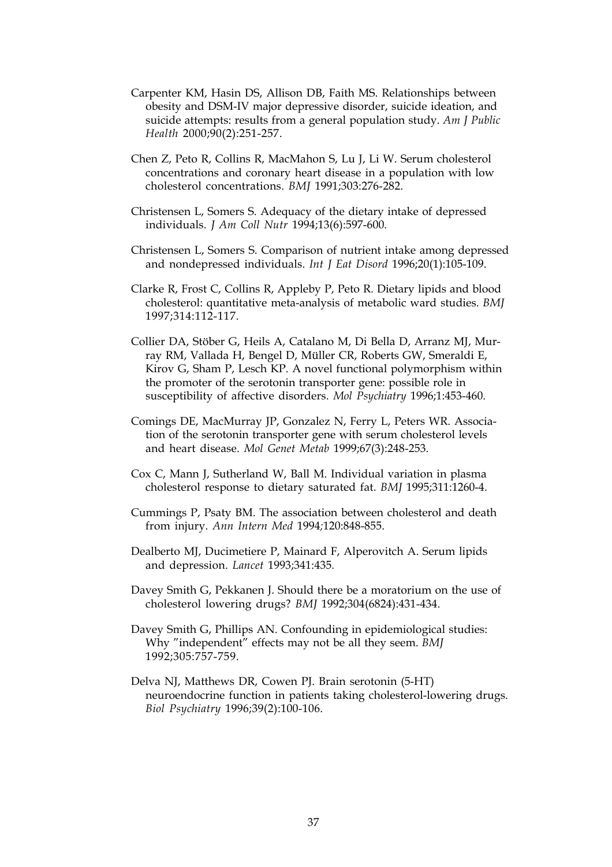- Carpenter KM, Hasin DS, Allison DB, Faith MS. Relationships between obesity and DSM-IV major depressive disorder, suicide ideation, and suicide attempts: results from a general population study. *Am J Public Health* 2000;90(2):251-257.
- Chen Z, Peto R, Collins R, MacMahon S, Lu J, Li W. Serum cholesterol concentrations and coronary heart disease in a population with low cholesterol concentrations. *BMJ* 1991;303:276-282.
- Christensen L, Somers S. Adequacy of the dietary intake of depressed individuals. *J Am Coll Nutr* 1994;13(6):597-600.
- Christensen L, Somers S. Comparison of nutrient intake among depressed and nondepressed individuals. *Int J Eat Disord* 1996;20(1):105-109.
- Clarke R, Frost C, Collins R, Appleby P, Peto R. Dietary lipids and blood cholesterol: quantitative meta-analysis of metabolic ward studies. *BMJ* 1997;314:112-117.
- Collier DA, Stöber G, Heils A, Catalano M, Di Bella D, Arranz MJ, Murray RM, Vallada H, Bengel D, Müller CR, Roberts GW, Smeraldi E, Kirov G, Sham P, Lesch KP. A novel functional polymorphism within the promoter of the serotonin transporter gene: possible role in susceptibility of affective disorders. *Mol Psychiatry* 1996;1:453-460.
- Comings DE, MacMurray JP, Gonzalez N, Ferry L, Peters WR. Association of the serotonin transporter gene with serum cholesterol levels and heart disease. *Mol Genet Metab* 1999;67(3):248-253.
- Cox C, Mann J, Sutherland W, Ball M. Individual variation in plasma cholesterol response to dietary saturated fat. *BMJ* 1995;311:1260-4.
- Cummings P, Psaty BM. The association between cholesterol and death from injury. *Ann Intern Med* 1994*;*120:848-855.
- Dealberto MJ, Ducimetiere P, Mainard F, Alperovitch A. Serum lipids and depression. *Lancet* 1993;341:435*.*
- Davey Smith G, Pekkanen J. Should there be a moratorium on the use of cholesterol lowering drugs? *BMJ* 1992;304(6824):431-434.
- Davey Smith G, Phillips AN. Confounding in epidemiological studies: Why "independent" effects may not be all they seem. *BMJ* 1992;305:757-759.
- Delva NJ, Matthews DR, Cowen PJ. Brain serotonin (5-HT) neuroendocrine function in patients taking cholesterol-lowering drugs. *Biol Psychiatry* 1996;39(2):100-106.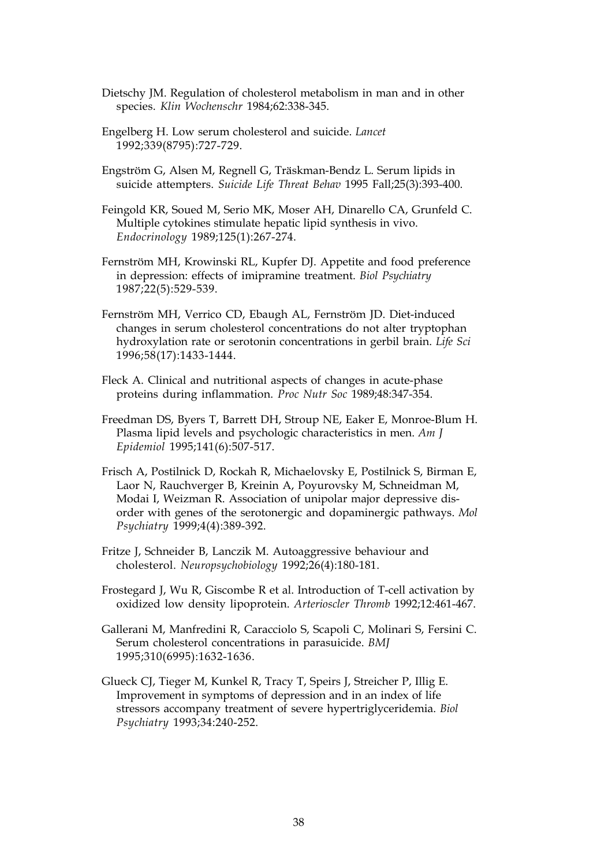- Dietschy JM. Regulation of cholesterol metabolism in man and in other species. *Klin Wochenschr* 1984;62:338-345.
- Engelberg H. Low serum cholesterol and suicide. *Lancet* 1992;339(8795):727-729.
- Engström G, Alsen M, Regnell G, Träskman-Bendz L. Serum lipids in suicide attempters. *Suicide Life Threat Behav* 1995 Fall;25(3):393-400.
- Feingold KR, Soued M, Serio MK, Moser AH, Dinarello CA, Grunfeld C. Multiple cytokines stimulate hepatic lipid synthesis in vivo. *Endocrinology* 1989;125(1):267-274.
- Fernström MH, Krowinski RL, Kupfer DJ. Appetite and food preference in depression: effects of imipramine treatment. *Biol Psychiatry* 1987;22(5):529-539.
- Fernström MH, Verrico CD, Ebaugh AL, Fernström JD. Diet-induced changes in serum cholesterol concentrations do not alter tryptophan hydroxylation rate or serotonin concentrations in gerbil brain. *Life Sci* 1996;58(17):1433-1444.
- Fleck A. Clinical and nutritional aspects of changes in acute-phase proteins during inflammation. *Proc Nutr Soc* 1989;48:347-354.
- Freedman DS, Byers T, Barrett DH, Stroup NE, Eaker E, Monroe-Blum H. Plasma lipid levels and psychologic characteristics in men. *Am J Epidemiol* 1995;141(6):507-517.
- Frisch A, Postilnick D, Rockah R, Michaelovsky E, Postilnick S, Birman E, Laor N, Rauchverger B, Kreinin A, Poyurovsky M, Schneidman M, Modai I, Weizman R. Association of unipolar major depressive disorder with genes of the serotonergic and dopaminergic pathways. *Mol Psychiatry* 1999;4(4):389-392.
- Fritze J, Schneider B, Lanczik M. Autoaggressive behaviour and cholesterol. *Neuropsychobiology* 1992;26(4):180-181.
- Frostegard J, Wu R, Giscombe R et al. Introduction of T-cell activation by oxidized low density lipoprotein. *Arterioscler Thromb* 1992;12:461-467.
- Gallerani M, Manfredini R, Caracciolo S, Scapoli C, Molinari S, Fersini C. Serum cholesterol concentrations in parasuicide. *BMJ* 1995;310(6995):1632-1636.
- Glueck CJ, Tieger M, Kunkel R, Tracy T, Speirs J, Streicher P, Illig E. Improvement in symptoms of depression and in an index of life stressors accompany treatment of severe hypertriglyceridemia. *Biol Psychiatry* 1993;34:240-252.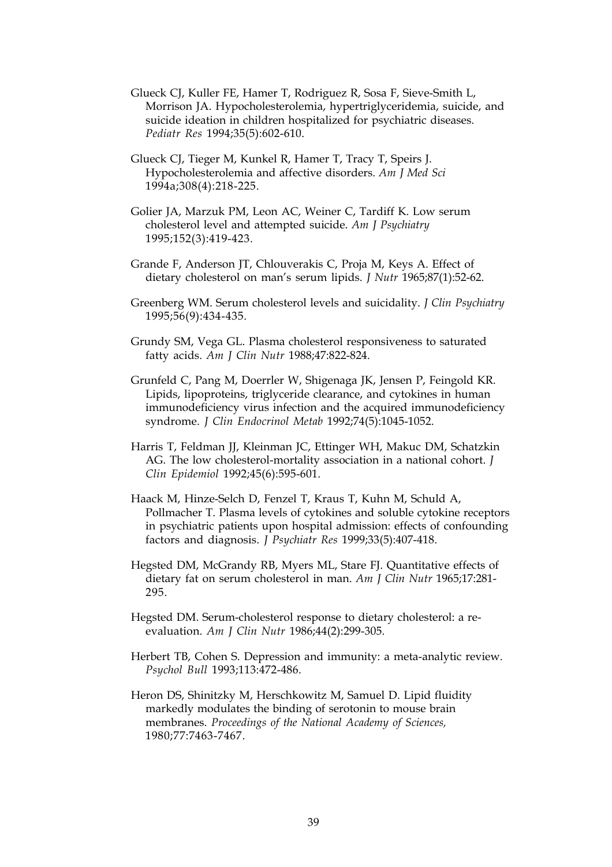- Glueck CJ, Kuller FE, Hamer T, Rodriguez R, Sosa F, Sieve-Smith L, Morrison JA. Hypocholesterolemia, hypertriglyceridemia, suicide, and suicide ideation in children hospitalized for psychiatric diseases. *Pediatr Res* 1994;35(5):602-610.
- Glueck CJ, Tieger M, Kunkel R, Hamer T, Tracy T, Speirs J. Hypocholesterolemia and affective disorders. *Am J Med Sci* 1994a;308(4):218-225.
- Golier JA, Marzuk PM, Leon AC, Weiner C, Tardiff K. Low serum cholesterol level and attempted suicide. *Am J Psychiatry* 1995;152(3):419-423.
- Grande F, Anderson JT, Chlouverakis C, Proja M, Keys A. Effect of dietary cholesterol on man's serum lipids. *J Nutr* 1965;87(1):52-62.
- Greenberg WM. Serum cholesterol levels and suicidality. *J Clin Psychiatry* 1995;56(9):434-435.
- Grundy SM, Vega GL. Plasma cholesterol responsiveness to saturated fatty acids. *Am J Clin Nutr* 1988;47:822-824.
- Grunfeld C, Pang M, Doerrler W, Shigenaga JK, Jensen P, Feingold KR. Lipids, lipoproteins, triglyceride clearance, and cytokines in human immunodeficiency virus infection and the acquired immunodeficiency syndrome. *J Clin Endocrinol Metab* 1992;74(5):1045-1052.
- Harris T, Feldman JJ, Kleinman JC, Ettinger WH, Makuc DM, Schatzkin AG. The low cholesterol-mortality association in a national cohort. *J Clin Epidemiol* 1992;45(6):595-601.
- Haack M, Hinze-Selch D, Fenzel T, Kraus T, Kuhn M, Schuld A, Pollmacher T. Plasma levels of cytokines and soluble cytokine receptors in psychiatric patients upon hospital admission: effects of confounding factors and diagnosis. *J Psychiatr Res* 1999;33(5):407-418.
- Hegsted DM, McGrandy RB, Myers ML, Stare FJ. Quantitative effects of dietary fat on serum cholesterol in man. *Am J Clin Nutr* 1965;17:281- 295.
- Hegsted DM. Serum-cholesterol response to dietary cholesterol: a reevaluation. *Am J Clin Nutr* 1986;44(2):299-305.
- Herbert TB, Cohen S. Depression and immunity: a meta-analytic review. *Psychol Bull* 1993;113:472-486.
- Heron DS, Shinitzky M, Herschkowitz M, Samuel D. Lipid fluidity markedly modulates the binding of serotonin to mouse brain membranes. *Proceedings of the National Academy of Sciences,* 1980;77:7463-7467.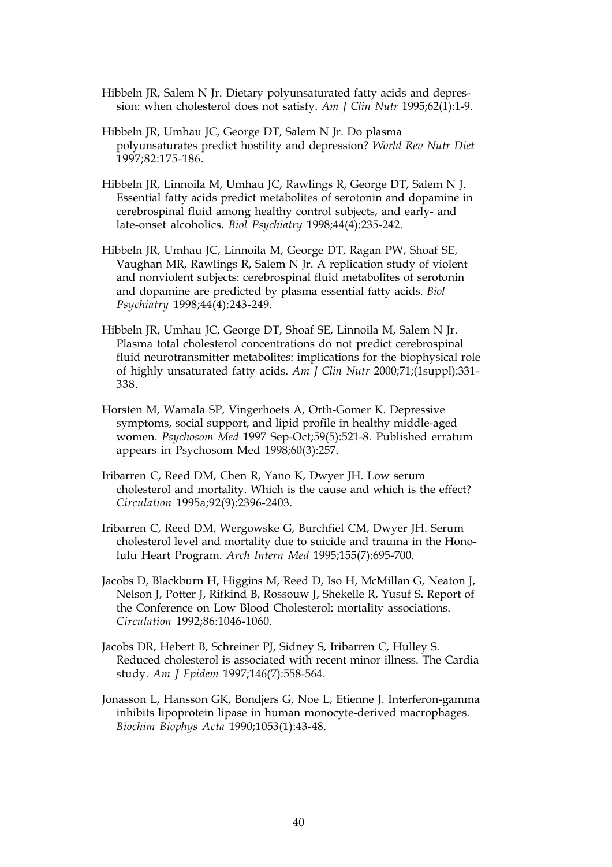- Hibbeln JR, Salem N Jr. Dietary polyunsaturated fatty acids and depression: when cholesterol does not satisfy. *Am J Clin Nutr* 1995;62(1):1-9.
- Hibbeln JR, Umhau JC, George DT, Salem N Jr. Do plasma polyunsaturates predict hostility and depression? *World Rev Nutr Diet* 1997;82:175-186.
- Hibbeln JR, Linnoila M, Umhau JC, Rawlings R, George DT, Salem N J. Essential fatty acids predict metabolites of serotonin and dopamine in cerebrospinal fluid among healthy control subjects, and early- and late-onset alcoholics. *Biol Psychiatry* 1998;44(4):235-242.
- Hibbeln JR, Umhau JC, Linnoila M, George DT, Ragan PW, Shoaf SE, Vaughan MR, Rawlings R, Salem N Jr. A replication study of violent and nonviolent subjects: cerebrospinal fluid metabolites of serotonin and dopamine are predicted by plasma essential fatty acids. *Biol Psychiatry* 1998;44(4):243-249.
- Hibbeln JR, Umhau JC, George DT, Shoaf SE, Linnoila M, Salem N Jr. Plasma total cholesterol concentrations do not predict cerebrospinal fluid neurotransmitter metabolites: implications for the biophysical role of highly unsaturated fatty acids. *Am J Clin Nutr* 2000;71;(1suppl):331- 338.
- Horsten M, Wamala SP, Vingerhoets A, Orth-Gomer K. Depressive symptoms, social support, and lipid profile in healthy middle-aged women. *Psychosom Med* 1997 Sep-Oct;59(5):521-8. Published erratum appears in Psychosom Med 1998;60(3):257.
- Iribarren C, Reed DM, Chen R, Yano K, Dwyer JH. Low serum cholesterol and mortality. Which is the cause and which is the effect? *Circulation* 1995a;92(9):2396-2403.
- Iribarren C, Reed DM, Wergowske G, Burchfiel CM, Dwyer JH. Serum cholesterol level and mortality due to suicide and trauma in the Honolulu Heart Program. *Arch Intern Med* 1995;155(7):695-700.
- Jacobs D, Blackburn H, Higgins M, Reed D, Iso H, McMillan G, Neaton J, Nelson J, Potter J, Rifkind B, Rossouw J, Shekelle R, Yusuf S. Report of the Conference on Low Blood Cholesterol: mortality associations. *Circulation* 1992;86:1046-1060.
- Jacobs DR, Hebert B, Schreiner PJ, Sidney S, Iribarren C, Hulley S. Reduced cholesterol is associated with recent minor illness. The Cardia study. *Am J Epidem* 1997;146(7):558-564.
- Jonasson L, Hansson GK, Bondjers G, Noe L, Etienne J. Interferon-gamma inhibits lipoprotein lipase in human monocyte-derived macrophages. *Biochim Biophys Acta* 1990;1053(1):43-48.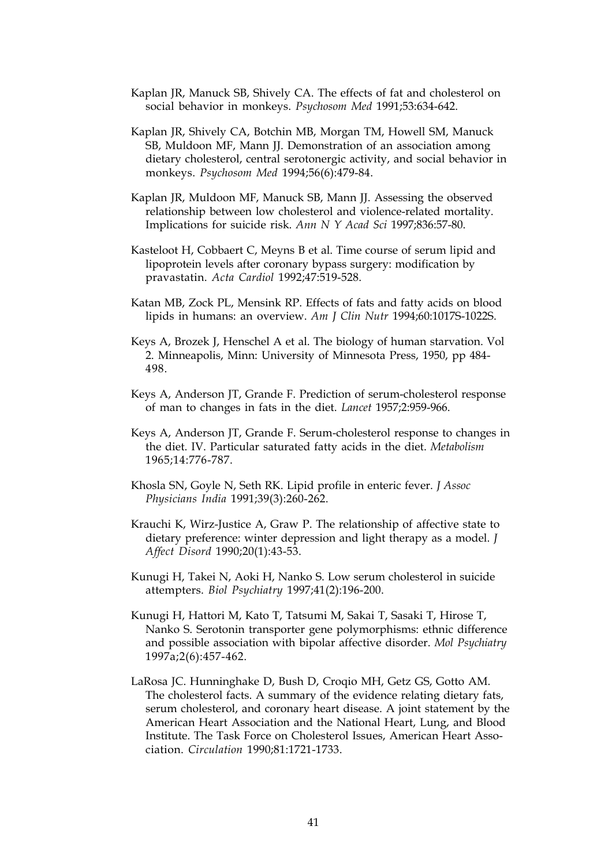- Kaplan JR, Manuck SB, Shively CA. The effects of fat and cholesterol on social behavior in monkeys. *Psychosom Med* 1991;53:634-642.
- Kaplan JR, Shively CA, Botchin MB, Morgan TM, Howell SM, Manuck SB, Muldoon MF, Mann JJ. Demonstration of an association among dietary cholesterol, central serotonergic activity, and social behavior in monkeys. *Psychosom Med* 1994;56(6):479-84.
- Kaplan JR, Muldoon MF, Manuck SB, Mann JJ. Assessing the observed relationship between low cholesterol and violence-related mortality. Implications for suicide risk. *Ann N Y Acad Sci* 1997;836:57-80.
- Kasteloot H, Cobbaert C, Meyns B et al. Time course of serum lipid and lipoprotein levels after coronary bypass surgery: modification by pravastatin. *Acta Cardiol* 1992;47:519-528.
- Katan MB, Zock PL, Mensink RP. Effects of fats and fatty acids on blood lipids in humans: an overview. *Am J Clin Nutr* 1994;60:1017S-1022S.
- Keys A, Brozek J, Henschel A et al. The biology of human starvation. Vol 2. Minneapolis, Minn: University of Minnesota Press, 1950, pp 484- 498.
- Keys A, Anderson JT, Grande F. Prediction of serum-cholesterol response of man to changes in fats in the diet. *Lancet* 1957;2:959-966.
- Keys A, Anderson JT, Grande F. Serum-cholesterol response to changes in the diet. IV. Particular saturated fatty acids in the diet. *Metabolism* 1965;14:776-787.
- Khosla SN, Goyle N, Seth RK. Lipid profile in enteric fever. *J Assoc Physicians India* 1991;39(3):260-262.
- Krauchi K, Wirz-Justice A, Graw P. The relationship of affective state to dietary preference: winter depression and light therapy as a model. *J Affect Disord* 1990;20(1):43-53.
- Kunugi H, Takei N, Aoki H, Nanko S. Low serum cholesterol in suicide attempters. *Biol Psychiatry* 1997;41(2):196-200.
- Kunugi H, Hattori M, Kato T, Tatsumi M, Sakai T, Sasaki T, Hirose T, Nanko S. Serotonin transporter gene polymorphisms: ethnic difference and possible association with bipolar affective disorder. *Mol Psychiatry* 1997a;2(6):457-462.
- LaRosa JC. Hunninghake D, Bush D, Croqio MH, Getz GS, Gotto AM. The cholesterol facts. A summary of the evidence relating dietary fats, serum cholesterol, and coronary heart disease. A joint statement by the American Heart Association and the National Heart, Lung, and Blood Institute. The Task Force on Cholesterol Issues, American Heart Association. *Circulation* 1990;81:1721-1733.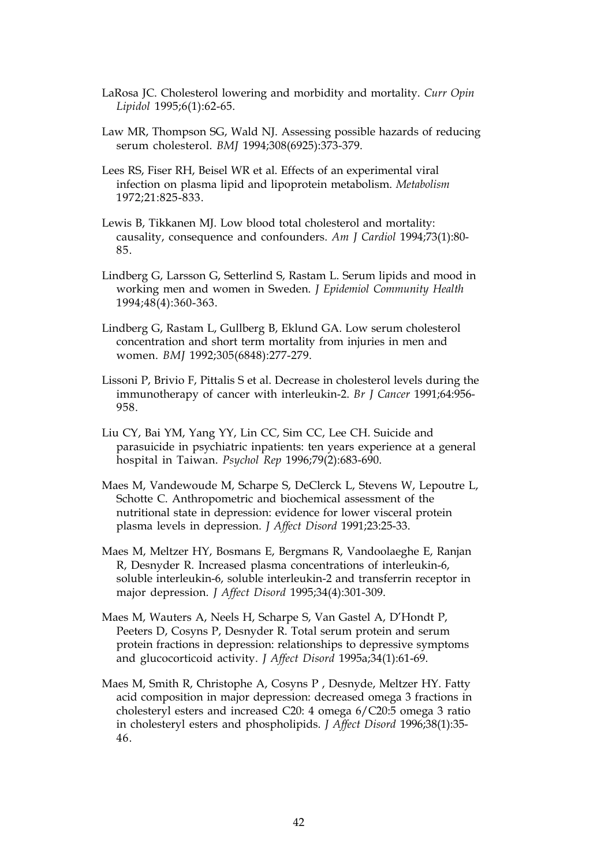- LaRosa JC. Cholesterol lowering and morbidity and mortality. *Curr Opin Lipidol* 1995;6(1):62-65.
- Law MR, Thompson SG, Wald NJ. Assessing possible hazards of reducing serum cholesterol. *BMJ* 1994;308(6925):373-379.
- Lees RS, Fiser RH, Beisel WR et al. Effects of an experimental viral infection on plasma lipid and lipoprotein metabolism. *Metabolism* 1972;21:825-833.
- Lewis B, Tikkanen MJ. Low blood total cholesterol and mortality: causality, consequence and confounders. *Am J Cardiol* 1994;73(1):80- 85.
- Lindberg G, Larsson G, Setterlind S, Rastam L. Serum lipids and mood in working men and women in Sweden. *J Epidemiol Community Health* 1994;48(4):360-363.
- Lindberg G, Rastam L, Gullberg B, Eklund GA. Low serum cholesterol concentration and short term mortality from injuries in men and women. *BMJ* 1992;305(6848):277-279.
- Lissoni P, Brivio F, Pittalis S et al. Decrease in cholesterol levels during the immunotherapy of cancer with interleukin-2. *Br J Cancer* 1991;64:956- 958.
- Liu CY, Bai YM, Yang YY, Lin CC, Sim CC, Lee CH. Suicide and parasuicide in psychiatric inpatients: ten years experience at a general hospital in Taiwan. *Psychol Rep* 1996;79(2):683-690.
- Maes M, Vandewoude M, Scharpe S, DeClerck L, Stevens W, Lepoutre L, Schotte C. Anthropometric and biochemical assessment of the nutritional state in depression: evidence for lower visceral protein plasma levels in depression. *J Affect Disord* 1991;23:25-33.
- Maes M, Meltzer HY, Bosmans E, Bergmans R, Vandoolaeghe E, Ranjan R, Desnyder R. Increased plasma concentrations of interleukin-6, soluble interleukin-6, soluble interleukin-2 and transferrin receptor in major depression. *J Affect Disord* 1995;34(4):301-309.
- Maes M, Wauters A, Neels H, Scharpe S, Van Gastel A, D'Hondt P, Peeters D, Cosyns P, Desnyder R. Total serum protein and serum protein fractions in depression: relationships to depressive symptoms and glucocorticoid activity. *J Affect Disord* 1995a;34(1):61-69.
- Maes M, Smith R, Christophe A, Cosyns P , Desnyde, Meltzer HY. Fatty acid composition in major depression: decreased omega 3 fractions in cholesteryl esters and increased C20: 4 omega 6/C20:5 omega 3 ratio in cholesteryl esters and phospholipids. *J Affect Disord* 1996;38(1):35- 46.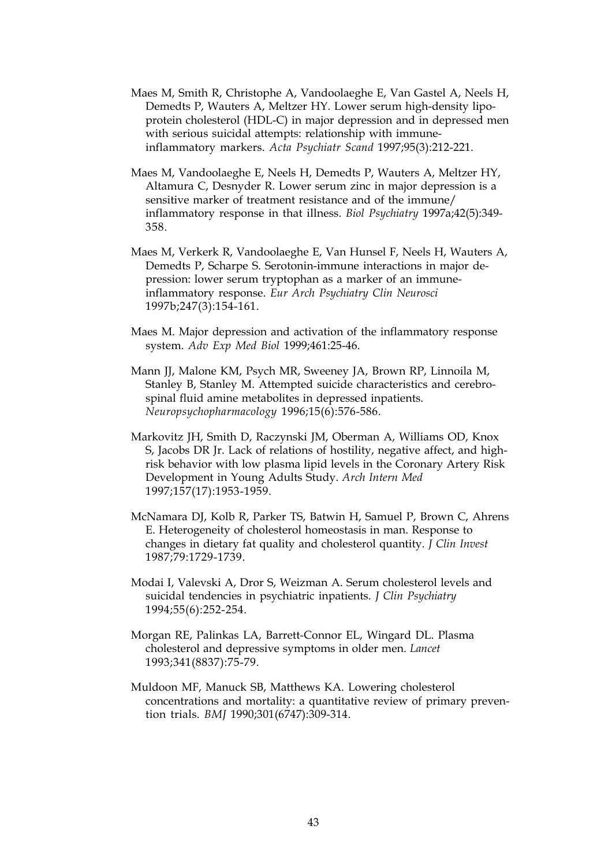- Maes M, Smith R, Christophe A, Vandoolaeghe E, Van Gastel A, Neels H, Demedts P, Wauters A, Meltzer HY. Lower serum high-density lipoprotein cholesterol (HDL-C) in major depression and in depressed men with serious suicidal attempts: relationship with immuneinflammatory markers. *Acta Psychiatr Scand* 1997;95(3):212-221.
- Maes M, Vandoolaeghe E, Neels H, Demedts P, Wauters A, Meltzer HY, Altamura C, Desnyder R. Lower serum zinc in major depression is a sensitive marker of treatment resistance and of the immune/ inflammatory response in that illness. *Biol Psychiatry* 1997a;42(5):349- 358.
- Maes M, Verkerk R, Vandoolaeghe E, Van Hunsel F, Neels H, Wauters A, Demedts P, Scharpe S. Serotonin-immune interactions in major depression: lower serum tryptophan as a marker of an immuneinflammatory response. *Eur Arch Psychiatry Clin Neurosci* 1997b;247(3):154-161.
- Maes M. Major depression and activation of the inflammatory response system. *Adv Exp Med Biol* 1999;461:25-46.
- Mann JJ, Malone KM, Psych MR, Sweeney JA, Brown RP, Linnoila M, Stanley B, Stanley M. Attempted suicide characteristics and cerebrospinal fluid amine metabolites in depressed inpatients. *Neuropsychopharmacology* 1996;15(6):576-586.
- Markovitz JH, Smith D, Raczynski JM, Oberman A, Williams OD, Knox S, Jacobs DR Jr. Lack of relations of hostility, negative affect, and highrisk behavior with low plasma lipid levels in the Coronary Artery Risk Development in Young Adults Study. *Arch Intern Med* 1997;157(17):1953-1959.
- McNamara DJ, Kolb R, Parker TS, Batwin H, Samuel P, Brown C, Ahrens E. Heterogeneity of cholesterol homeostasis in man. Response to changes in dietary fat quality and cholesterol quantity. *J Clin Invest* 1987;79:1729-1739.
- Modai I, Valevski A, Dror S, Weizman A. Serum cholesterol levels and suicidal tendencies in psychiatric inpatients. *J Clin Psychiatry* 1994;55(6):252-254.
- Morgan RE, Palinkas LA, Barrett-Connor EL, Wingard DL. Plasma cholesterol and depressive symptoms in older men. *Lancet* 1993;341(8837):75-79.
- Muldoon MF, Manuck SB, Matthews KA. Lowering cholesterol concentrations and mortality: a quantitative review of primary prevention trials. *BMJ* 1990;301(6747):309-314.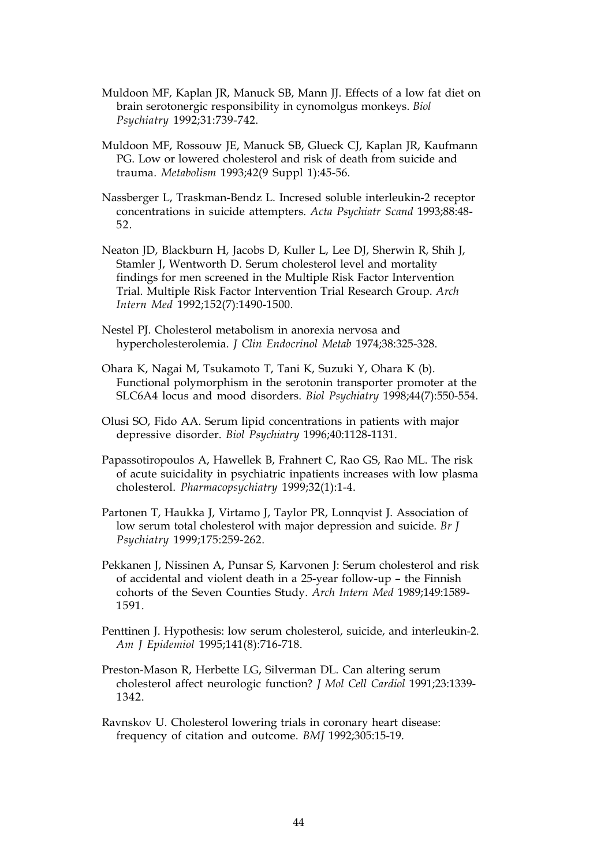- Muldoon MF, Kaplan JR, Manuck SB, Mann JJ. Effects of a low fat diet on brain serotonergic responsibility in cynomolgus monkeys. *Biol Psychiatry* 1992;31:739-742.
- Muldoon MF, Rossouw JE, Manuck SB, Glueck CJ, Kaplan JR, Kaufmann PG. Low or lowered cholesterol and risk of death from suicide and trauma. *Metabolism* 1993;42(9 Suppl 1):45-56.
- Nassberger L, Traskman-Bendz L. Incresed soluble interleukin-2 receptor concentrations in suicide attempters. *Acta Psychiatr Scand* 1993;88:48- 52.
- Neaton JD, Blackburn H, Jacobs D, Kuller L, Lee DJ, Sherwin R, Shih J, Stamler J, Wentworth D. Serum cholesterol level and mortality findings for men screened in the Multiple Risk Factor Intervention Trial. Multiple Risk Factor Intervention Trial Research Group. *Arch Intern Med* 1992;152(7):1490-1500.
- Nestel PJ. Cholesterol metabolism in anorexia nervosa and hypercholesterolemia. *J Clin Endocrinol Metab* 1974;38:325-328.
- Ohara K, Nagai M, Tsukamoto T, Tani K, Suzuki Y, Ohara K (b). Functional polymorphism in the serotonin transporter promoter at the SLC6A4 locus and mood disorders. *Biol Psychiatry* 1998;44(7):550-554.
- Olusi SO, Fido AA. Serum lipid concentrations in patients with major depressive disorder. *Biol Psychiatry* 1996;40:1128-1131.
- Papassotiropoulos A, Hawellek B, Frahnert C, Rao GS, Rao ML. The risk of acute suicidality in psychiatric inpatients increases with low plasma cholesterol. *Pharmacopsychiatry* 1999;32(1):1-4.
- Partonen T, Haukka J, Virtamo J, Taylor PR, Lonnqvist J. Association of low serum total cholesterol with major depression and suicide. *Br J Psychiatry* 1999;175:259-262.
- Pekkanen J, Nissinen A, Punsar S, Karvonen J: Serum cholesterol and risk of accidental and violent death in a 25-year follow-up – the Finnish cohorts of the Seven Counties Study. *Arch Intern Med* 1989;149:1589- 1591.
- Penttinen J. Hypothesis: low serum cholesterol, suicide, and interleukin-2. *Am J Epidemiol* 1995;141(8):716-718.
- Preston-Mason R, Herbette LG, Silverman DL. Can altering serum cholesterol affect neurologic function? *J Mol Cell Cardiol* 1991;23:1339- 1342.
- Ravnskov U. Cholesterol lowering trials in coronary heart disease: frequency of citation and outcome. *BMJ* 1992;305:15-19.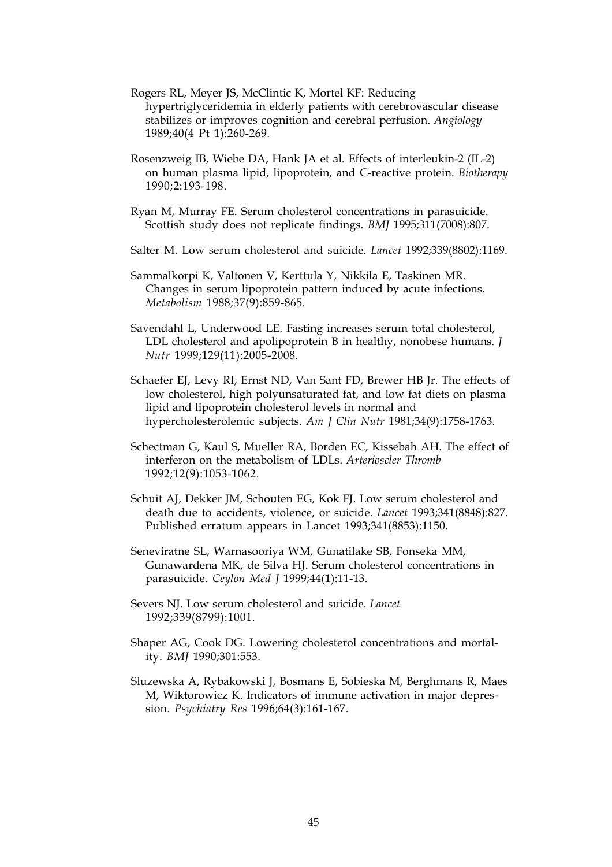- Rogers RL, Meyer JS, McClintic K, Mortel KF: Reducing hypertriglyceridemia in elderly patients with cerebrovascular disease stabilizes or improves cognition and cerebral perfusion. *Angiology* 1989;40(4 Pt 1):260-269.
- Rosenzweig IB, Wiebe DA, Hank JA et al. Effects of interleukin-2 (IL-2) on human plasma lipid, lipoprotein, and C-reactive protein. *Biotherapy* 1990;2:193-198.
- Ryan M, Murray FE. Serum cholesterol concentrations in parasuicide. Scottish study does not replicate findings. *BMJ* 1995;311(7008):807.
- Salter M. Low serum cholesterol and suicide. *Lancet* 1992;339(8802):1169.
- Sammalkorpi K, Valtonen V, Kerttula Y, Nikkila E, Taskinen MR. Changes in serum lipoprotein pattern induced by acute infections. *Metabolism* 1988;37(9):859-865.
- Savendahl L, Underwood LE. Fasting increases serum total cholesterol, LDL cholesterol and apolipoprotein B in healthy, nonobese humans. *J Nutr* 1999;129(11):2005-2008.
- Schaefer EJ, Levy RI, Ernst ND, Van Sant FD, Brewer HB Jr. The effects of low cholesterol, high polyunsaturated fat, and low fat diets on plasma lipid and lipoprotein cholesterol levels in normal and hypercholesterolemic subjects. *Am J Clin Nutr* 1981;34(9):1758-1763.
- Schectman G, Kaul S, Mueller RA, Borden EC, Kissebah AH. The effect of interferon on the metabolism of LDLs. *Arterioscler Thromb* 1992;12(9):1053-1062.
- Schuit AJ, Dekker JM, Schouten EG, Kok FJ. Low serum cholesterol and death due to accidents, violence, or suicide. *Lancet* 1993;341(8848):827. Published erratum appears in Lancet 1993;341(8853):1150.
- Seneviratne SL, Warnasooriya WM, Gunatilake SB, Fonseka MM, Gunawardena MK, de Silva HJ. Serum cholesterol concentrations in parasuicide. *Ceylon Med J* 1999;44(1):11-13.
- Severs NJ. Low serum cholesterol and suicide. *Lancet* 1992;339(8799):1001.
- Shaper AG, Cook DG. Lowering cholesterol concentrations and mortality. *BMJ* 1990;301:553.
- Sluzewska A, Rybakowski J, Bosmans E, Sobieska M, Berghmans R, Maes M, Wiktorowicz K. Indicators of immune activation in major depression. *Psychiatry Res* 1996;64(3):161-167.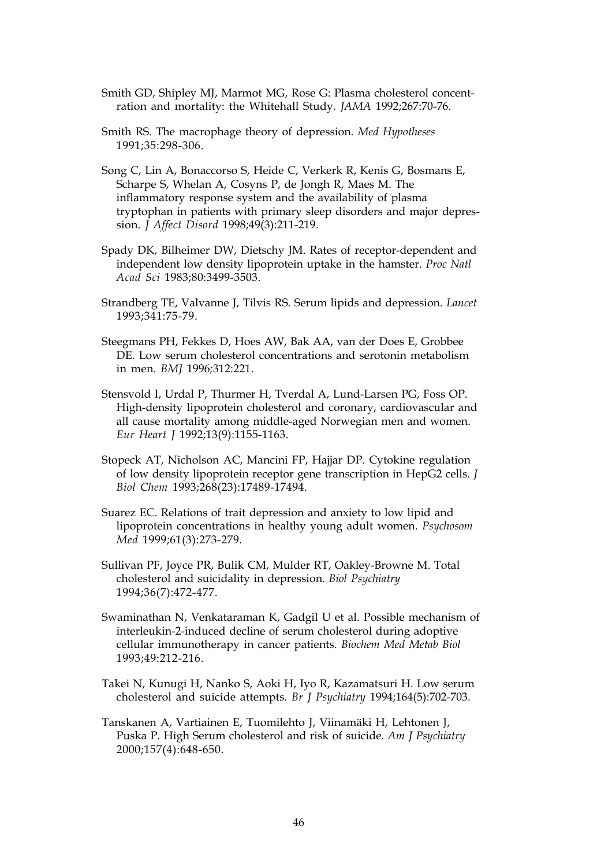- Smith GD, Shipley MJ, Marmot MG, Rose G: Plasma cholesterol concentration and mortality: the Whitehall Study. *JAMA* 1992;267:70-76.
- Smith RS. The macrophage theory of depression. *Med Hypotheses* 1991;35:298-306.
- Song C, Lin A, Bonaccorso S, Heide C, Verkerk R, Kenis G, Bosmans E, Scharpe S, Whelan A, Cosyns P, de Jongh R, Maes M. The inflammatory response system and the availability of plasma tryptophan in patients with primary sleep disorders and major depression. *J Affect Disord* 1998;49(3):211-219.
- Spady DK, Bilheimer DW, Dietschy JM. Rates of receptor-dependent and independent low density lipoprotein uptake in the hamster. *Proc Natl Acad Sci* 1983;80:3499-3503.
- Strandberg TE, Valvanne J, Tilvis RS. Serum lipids and depression. *Lancet* 1993;341:75-79.
- Steegmans PH, Fekkes D, Hoes AW, Bak AA, van der Does E, Grobbee DE. Low serum cholesterol concentrations and serotonin metabolism in men. *BMJ* 1996*;*312:221.
- Stensvold I, Urdal P, Thurmer H, Tverdal A, Lund-Larsen PG, Foss OP. High-density lipoprotein cholesterol and coronary, cardiovascular and all cause mortality among middle-aged Norwegian men and women. *Eur Heart J* 1992;13(9):1155-1163.
- Stopeck AT, Nicholson AC, Mancini FP, Hajjar DP. Cytokine regulation of low density lipoprotein receptor gene transcription in HepG2 cells. *J Biol Chem* 1993;268(23):17489-17494.
- Suarez EC. Relations of trait depression and anxiety to low lipid and lipoprotein concentrations in healthy young adult women. *Psychosom Med* 1999;61(3):273-279.
- Sullivan PF, Joyce PR, Bulik CM, Mulder RT, Oakley-Browne M. Total cholesterol and suicidality in depression. *Biol Psychiatry* 1994;36(7):472-477.
- Swaminathan N, Venkataraman K, Gadgil U et al. Possible mechanism of interleukin-2-induced decline of serum cholesterol during adoptive cellular immunotherapy in cancer patients. *Biochem Med Metab Biol* 1993;49:212-216.
- Takei N, Kunugi H, Nanko S, Aoki H, Iyo R, Kazamatsuri H. Low serum cholesterol and suicide attempts. *Br J Psychiatry* 1994;164(5):702-703.
- Tanskanen A, Vartiainen E, Tuomilehto J, Viinamäki H, Lehtonen J, Puska P. High Serum cholesterol and risk of suicide. *Am J Psychiatry* 2000;157(4):648-650.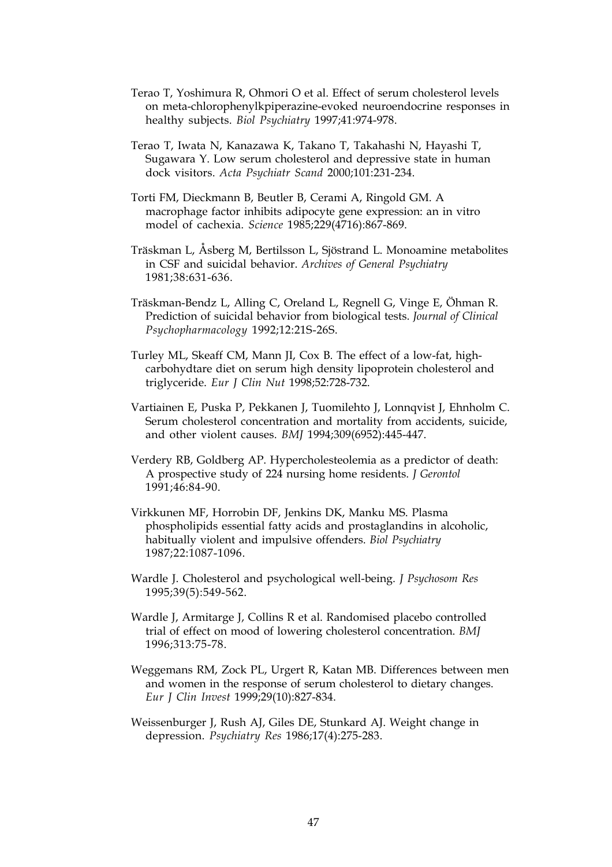- Terao T, Yoshimura R, Ohmori O et al. Effect of serum cholesterol levels on meta-chlorophenylkpiperazine-evoked neuroendocrine responses in healthy subjects. *Biol Psychiatry* 1997;41:974-978.
- Terao T, Iwata N, Kanazawa K, Takano T, Takahashi N, Hayashi T, Sugawara Y. Low serum cholesterol and depressive state in human dock visitors. *Acta Psychiatr Scand* 2000;101:231-234.
- Torti FM, Dieckmann B, Beutler B, Cerami A, Ringold GM. A macrophage factor inhibits adipocyte gene expression: an in vitro model of cachexia. *Science* 1985;229(4716):867-869.
- Träskman L, Åsberg M, Bertilsson L, Sjöstrand L. Monoamine metabolites in CSF and suicidal behavior. *Archives of General Psychiatry* 1981;38:631-636.
- Träskman-Bendz L, Alling C, Oreland L, Regnell G, Vinge E, Öhman R. Prediction of suicidal behavior from biological tests. *Journal of Clinical Psychopharmacology* 1992;12:21S-26S.
- Turley ML, Skeaff CM, Mann JI, Cox B. The effect of a low-fat, highcarbohydtare diet on serum high density lipoprotein cholesterol and triglyceride. *Eur J Clin Nut* 1998;52:728-732.
- Vartiainen E, Puska P, Pekkanen J, Tuomilehto J, Lonnqvist J, Ehnholm C. Serum cholesterol concentration and mortality from accidents, suicide, and other violent causes. *BMJ* 1994;309(6952):445-447.
- Verdery RB, Goldberg AP. Hypercholesteolemia as a predictor of death: A prospective study of 224 nursing home residents. *J Gerontol* 1991;46:84-90.
- Virkkunen MF, Horrobin DF, Jenkins DK, Manku MS. Plasma phospholipids essential fatty acids and prostaglandins in alcoholic, habitually violent and impulsive offenders. *Biol Psychiatry* 1987;22:1087-1096.
- Wardle J. Cholesterol and psychological well-being. *J Psychosom Res* 1995;39(5):549-562.
- Wardle J, Armitarge J, Collins R et al. Randomised placebo controlled trial of effect on mood of lowering cholesterol concentration. *BMJ* 1996;313:75-78.
- Weggemans RM, Zock PL, Urgert R, Katan MB. Differences between men and women in the response of serum cholesterol to dietary changes. *Eur J Clin Invest* 1999;29(10):827-834.
- Weissenburger J, Rush AJ, Giles DE, Stunkard AJ. Weight change in depression. *Psychiatry Res* 1986;17(4):275-283.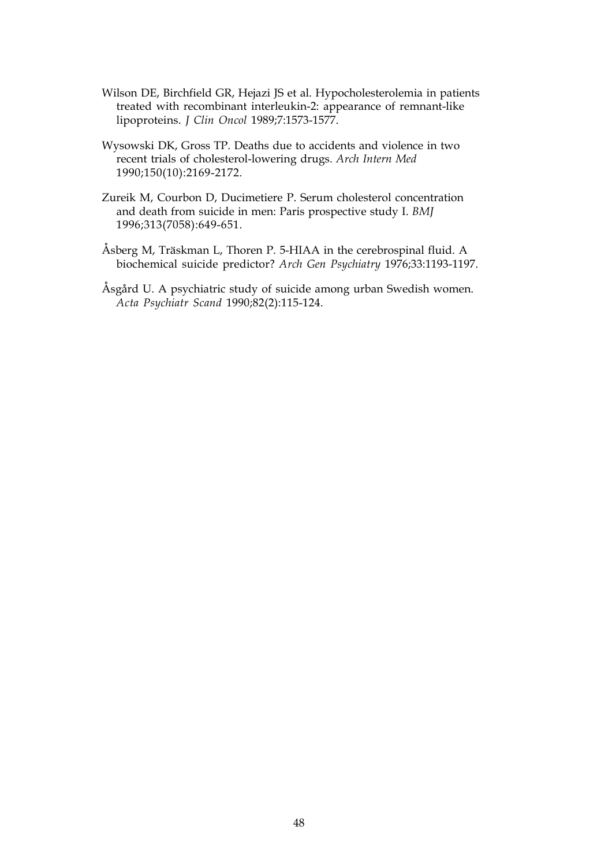- Wilson DE, Birchfield GR, Hejazi JS et al. Hypocholesterolemia in patients treated with recombinant interleukin-2: appearance of remnant-like lipoproteins. *J Clin Oncol* 1989;7:1573-1577.
- Wysowski DK, Gross TP. Deaths due to accidents and violence in two recent trials of cholesterol-lowering drugs. *Arch Intern Med* 1990;150(10):2169-2172.
- Zureik M, Courbon D, Ducimetiere P. Serum cholesterol concentration and death from suicide in men: Paris prospective study I. *BMJ* 1996;313(7058):649-651.
- Åsberg M, Träskman L, Thoren P. 5-HIAA in the cerebrospinal fluid. A biochemical suicide predictor? *Arch Gen Psychiatry* 1976;33:1193-1197.
- Åsgård U. A psychiatric study of suicide among urban Swedish women. *Acta Psychiatr Scand* 1990;82(2):115-124.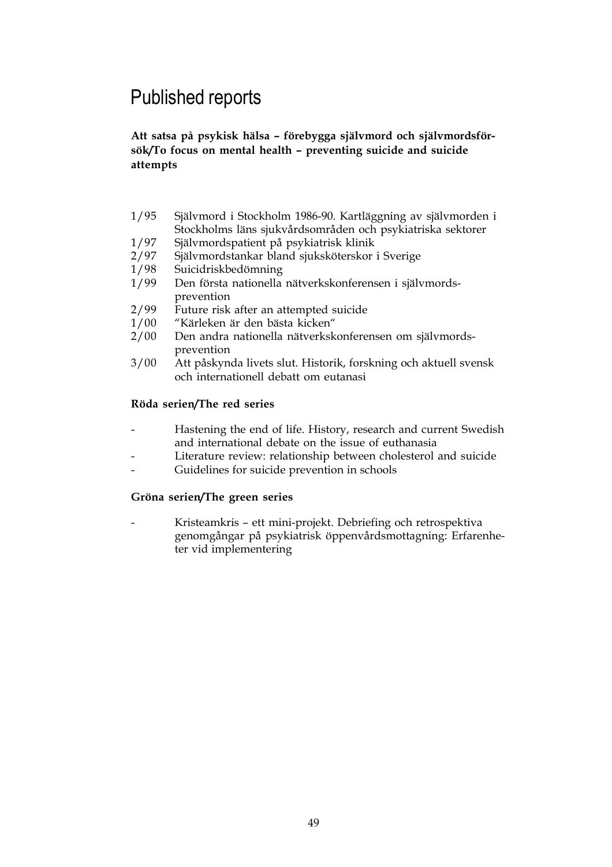## Published reports

**Att satsa på psykisk hälsa – förebygga självmord och självmordsförsök/To focus on mental health – preventing suicide and suicide attempts**

- 1/95 Självmord i Stockholm 1986-90. Kartläggning av självmorden i Stockholms läns sjukvårdsområden och psykiatriska sektorer
- 1/97 Självmordspatient på psykiatrisk klinik
- 2/97 Självmordstankar bland sjuksköterskor i Sverige
- 1/98 Suicidriskbedömning
- 1/99 Den första nationella nätverkskonferensen i självmordsprevention
- 2/99 Future risk after an attempted suicide<br>1/00 "Kärleken är den bästa kicken"
- "Kärleken är den bästa kicken"
- 2/00 Den andra nationella nätverkskonferensen om självmordsprevention
- 3/00 Att påskynda livets slut. Historik, forskning och aktuell svensk och internationell debatt om eutanasi

#### **Röda serien/The red series**

- Hastening the end of life. History, research and current Swedish and international debate on the issue of euthanasia
- Literature review: relationship between cholesterol and suicide
- Guidelines for suicide prevention in schools

#### **Gröna serien/The green series**

- Kristeamkris – ett mini-projekt. Debriefing och retrospektiva genomgångar på psykiatrisk öppenvårdsmottagning: Erfarenheter vid implementering